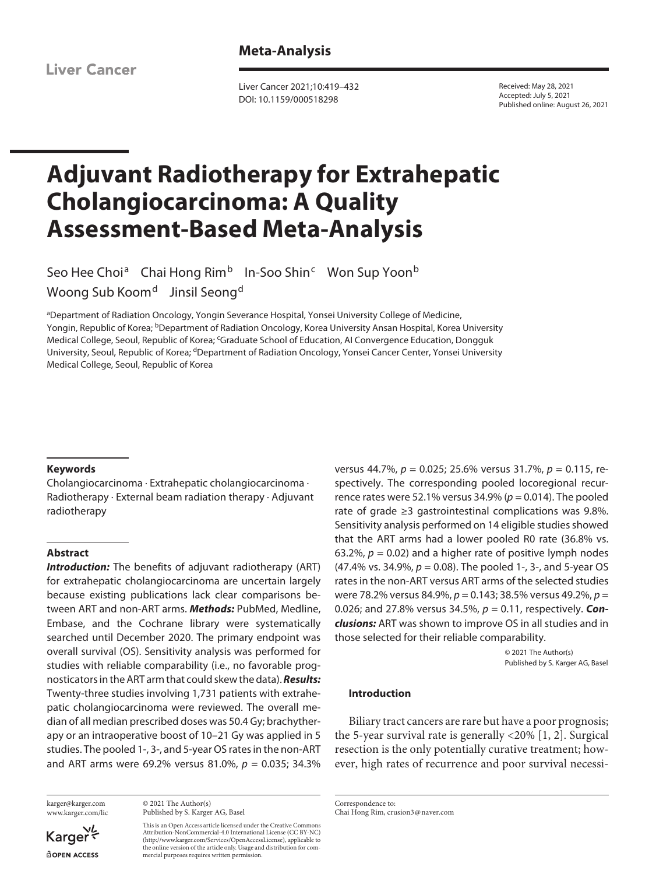**Liver Cancer** 

**Meta-Analysis**

Liver Cancer 2021;10:419–432 DOI: 10.1159/000518298

Received: May 28, 2021 Accepted: July 5, 2021 Published online: August 26, 2021

# **Adjuvant Radiotherapy for Extrahepatic Cholangiocarcinoma: A Quality Assessment-Based Meta-Analysis**

Seo Hee Choi<sup>a</sup> Chai Hong Rim<sup>b</sup> In-Soo Shin<sup>c</sup> Won Sup Yoon<sup>b</sup> Woong Sub Koom<sup>d</sup> Jinsil Seong<sup>d</sup>

aDepartment of Radiation Oncology, Yongin Severance Hospital, Yonsei University College of Medicine, Yongin, Republic of Korea; <sup>b</sup>Department of Radiation Oncology, Korea University Ansan Hospital, Korea University Medical College, Seoul, Republic of Korea; 'Graduate School of Education, AI Convergence Education, Dongguk University, Seoul, Republic of Korea; <sup>d</sup>Department of Radiation Oncology, Yonsei Cancer Center, Yonsei University Medical College, Seoul, Republic of Korea

#### **Keywords**

Cholangiocarcinoma · Extrahepatic cholangiocarcinoma · Radiotherapy · External beam radiation therapy · Adjuvant radiotherapy

## **Abstract**

*Introduction:* The benefits of adjuvant radiotherapy (ART) for extrahepatic cholangiocarcinoma are uncertain largely because existing publications lack clear comparisons between ART and non-ART arms. *Methods:* PubMed, Medline, Embase, and the Cochrane library were systematically searched until December 2020. The primary endpoint was overall survival (OS). Sensitivity analysis was performed for studies with reliable comparability (i.e., no favorable prognosticators in the ART arm that could skew the data). *Results:* Twenty-three studies involving 1,731 patients with extrahepatic cholangiocarcinoma were reviewed. The overall median of all median prescribed doses was 50.4 Gy; brachytherapy or an intraoperative boost of 10–21 Gy was applied in 5 studies. The pooled 1-, 3-, and 5-year OS rates in the non-ART and ART arms were 69.2% versus 81.0%, *p* = 0.035; 34.3%

karger@karger.com www.karger.com/lic

Karger dopen Access

© 2021 The Author(s) Published by S. Karger AG, Basel

This is an Open Access article licensed under the Creative Commons Attribution-NonCommercial-4.0 International License (CC BY-NC) (http://www.karger.com/Services/OpenAccessLicense), applicable to the online version of the article only. Usage and distribution for commercial purposes requires written permission.

versus 44.7%, *p* = 0.025; 25.6% versus 31.7%, *p* = 0.115, respectively. The corresponding pooled locoregional recurrence rates were 52.1% versus 34.9% ( $p = 0.014$ ). The pooled rate of grade ≥3 gastrointestinal complications was 9.8%. Sensitivity analysis performed on 14 eligible studies showed that the ART arms had a lower pooled R0 rate (36.8% vs. 63.2%,  $p = 0.02$ ) and a higher rate of positive lymph nodes (47.4% vs. 34.9%, *p* = 0.08). The pooled 1-, 3-, and 5-year OS rates in the non-ART versus ART arms of the selected studies were 78.2% versus 84.9%, *p* = 0.143; 38.5% versus 49.2%, *p* = 0.026; and 27.8% versus 34.5%, *p* = 0.11, respectively. *Conclusions:* ART was shown to improve OS in all studies and in those selected for their reliable comparability.

> © 2021 The Author(s) Published by S. Karger AG, Basel

# **Introduction**

<span id="page-0-0"></span>Biliary tract cancers are rare but have a poor prognosis; the 5-year survival rate is generally <20% [\[1,](#page-12-0) [2](#page-12-1)]. Surgical resection is the only potentially curative treatment; however, high rates of recurrence and poor survival necessi-

Correspondence to: Chai Hong Rim, crusion3@naver.com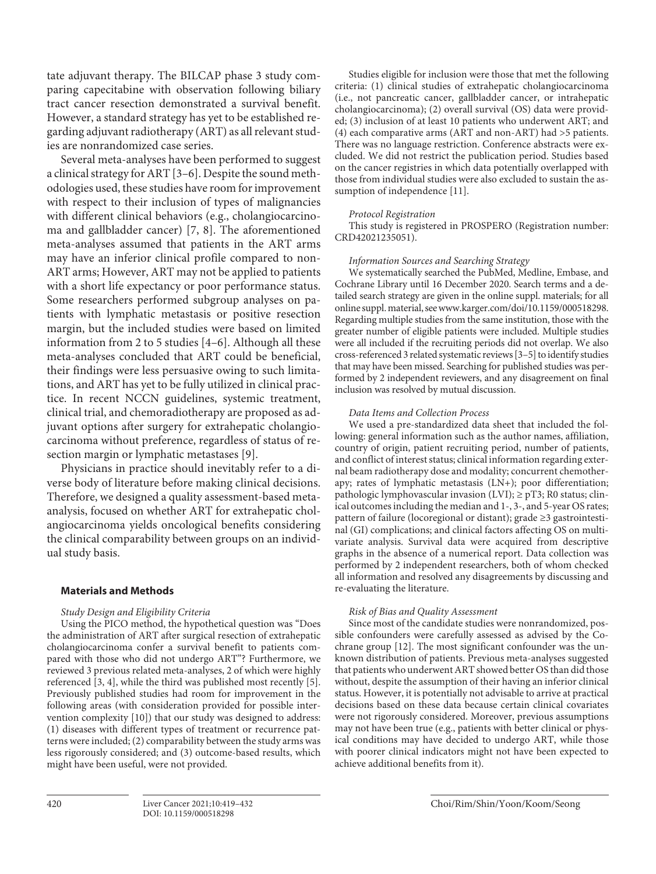tate adjuvant therapy. The BILCAP phase 3 study comparing capecitabine with observation following biliary tract cancer resection demonstrated a survival benefit. However, a standard strategy has yet to be established regarding adjuvant radiotherapy (ART) as all relevant studies are nonrandomized case series.

<span id="page-1-1"></span><span id="page-1-0"></span>Several meta-analyses have been performed to suggest a clinical strategy for ART [\[3](#page-12-2)[–6](#page-12-3)]. Despite the sound methodologies used, these studies have room for improvement with respect to their inclusion of types of malignancies with different clinical behaviors (e.g., cholangiocarcinoma and gallbladder cancer) [\[7](#page-12-4), [8\]](#page-12-5). The aforementioned meta-analyses assumed that patients in the ART arms may have an inferior clinical profile compared to non-ART arms; However, ART may not be applied to patients with a short life expectancy or poor performance status. Some researchers performed subgroup analyses on patients with lymphatic metastasis or positive resection margin, but the included studies were based on limited information from 2 to 5 studies [\[4](#page-12-6)[–6\]](#page-12-3). Although all these meta-analyses concluded that ART could be beneficial, their findings were less persuasive owing to such limitations, and ART has yet to be fully utilized in clinical practice. In recent NCCN guidelines, systemic treatment, clinical trial, and chemoradiotherapy are proposed as adjuvant options after surgery for extrahepatic cholangiocarcinoma without preference, regardless of status of resection margin or lymphatic metastases [[9](#page-12-7)].

<span id="page-1-2"></span>Physicians in practice should inevitably refer to a diverse body of literature before making clinical decisions. Therefore, we designed a quality assessment-based metaanalysis, focused on whether ART for extrahepatic cholangiocarcinoma yields oncological benefits considering the clinical comparability between groups on an individual study basis.

## **Materials and Methods**

## *Study Design and Eligibility Criteria*

<span id="page-1-3"></span>Using the PICO method, the hypothetical question was "Does the administration of ART after surgical resection of extrahepatic cholangiocarcinoma confer a survival benefit to patients compared with those who did not undergo ART"? Furthermore, we reviewed 3 previous related meta-analyses, 2 of which were highly referenced [\[3,](#page-12-2) [4\]](#page-12-6), while the third was published most recently [\[5\]](#page-12-8). Previously published studies had room for improvement in the following areas (with consideration provided for possible intervention complexity [\[10](#page-12-0)]) that our study was designed to address: (1) diseases with different types of treatment or recurrence patterns were included; (2) comparability between the study arms was less rigorously considered; and (3) outcome-based results, which might have been useful, were not provided.

Studies eligible for inclusion were those that met the following criteria: (1) clinical studies of extrahepatic cholangiocarcinoma (i.e., not pancreatic cancer, gallbladder cancer, or intrahepatic cholangiocarcinoma); (2) overall survival (OS) data were provided; (3) inclusion of at least 10 patients who underwent ART; and (4) each comparative arms (ART and non-ART) had >5 patients. There was no language restriction. Conference abstracts were excluded. We did not restrict the publication period. Studies based on the cancer registries in which data potentially overlapped with those from individual studies were also excluded to sustain the assumption of independence [[11\]](#page-12-0).

## <span id="page-1-4"></span>*Protocol Registration*

This study is registered in PROSPERO (Registration number: CRD42021235051).

### *Information Sources and Searching Strategy*

We systematically searched the PubMed, Medline, Embase, and Cochrane Library until 16 December 2020. Search terms and a detailed search strategy are given in the online suppl. materials; for all online suppl. material, see www.karger.com/doi/10.1159/000518298. Regarding multiple studies from the same institution, those with the greater number of eligible patients were included. Multiple studies were all included if the recruiting periods did not overlap. We also cross-referenced 3 related systematic reviews [\[3–](#page-12-2)[5\]](#page-12-8) to identify studies that may have been missed. Searching for published studies was performed by 2 independent reviewers, and any disagreement on final inclusion was resolved by mutual discussion.

### *Data Items and Collection Process*

We used a pre-standardized data sheet that included the following: general information such as the author names, affiliation, country of origin, patient recruiting period, number of patients, and conflict of interest status; clinical information regarding external beam radiotherapy dose and modality; concurrent chemotherapy; rates of lymphatic metastasis (LN+); poor differentiation; pathologic lymphovascular invasion (LVI);  $\geq$  pT3; R0 status; clinical outcomes including the median and 1-, 3-, and 5-year OS rates; pattern of failure (locoregional or distant); grade ≥3 gastrointestinal (GI) complications; and clinical factors affecting OS on multivariate analysis. Survival data were acquired from descriptive graphs in the absence of a numerical report. Data collection was performed by 2 independent researchers, both of whom checked all information and resolved any disagreements by discussing and re-evaluating the literature.

#### *Risk of Bias and Quality Assessment*

<span id="page-1-5"></span>Since most of the candidate studies were nonrandomized, possible confounders were carefully assessed as advised by the Cochrane group [\[1](#page-12-0)[2\]](#page-12-1). The most significant confounder was the unknown distribution of patients. Previous meta-analyses suggested that patients who underwent ART showed better OS than did those without, despite the assumption of their having an inferior clinical status. However, it is potentially not advisable to arrive at practical decisions based on these data because certain clinical covariates were not rigorously considered. Moreover, previous assumptions may not have been true (e.g., patients with better clinical or physical conditions may have decided to undergo ART, while those with poorer clinical indicators might not have been expected to achieve additional benefits from it).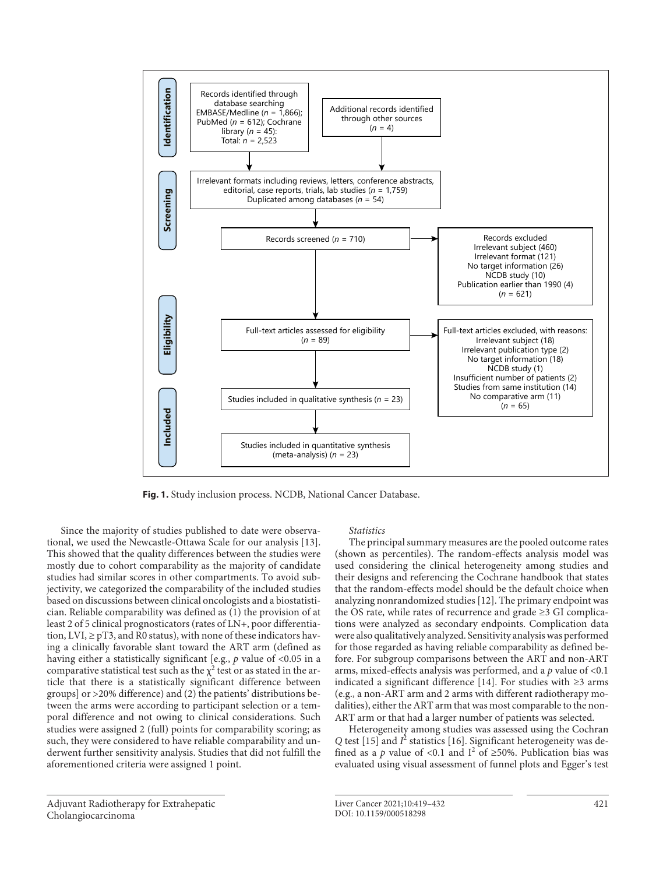

**Fig. 1.** Study inclusion process. NCDB, National Cancer Database.

<span id="page-2-0"></span>Since the majority of studies published to date were observational, we used the Newcastle-Ottawa Scale for our analysis [[1](#page-12-0)[3\]](#page-12-2). This showed that the quality differences between the studies were mostly due to cohort comparability as the majority of candidate studies had similar scores in other compartments. To avoid subjectivity, we categorized the comparability of the included studies based on discussions between clinical oncologists and a biostatistician. Reliable comparability was defined as (1) the provision of at least 2 of 5 clinical prognosticators (rates of LN+, poor differentiation,  $LVI, \geq pT3$ , and  $R0$  status), with none of these indicators having a clinically favorable slant toward the ART arm (defined as having either a statistically significant [e.g., *p* value of <0.05 in a comparative statistical test such as the  $\chi^2$  test or as stated in the article that there is a statistically significant difference between groups] or >20% difference) and (2) the patients' distributions between the arms were according to participant selection or a temporal difference and not owing to clinical considerations. Such studies were assigned 2 (full) points for comparability scoring; as such, they were considered to have reliable comparability and underwent further sensitivity analysis. Studies that did not fulfill the aforementioned criteria were assigned 1 point.

## *Statistics*

The principal summary measures are the pooled outcome rates (shown as percentiles). The random-effects analysis model was used considering the clinical heterogeneity among studies and their designs and referencing the Cochrane handbook that states that the random-effects model should be the default choice when analyzing nonrandomized studies [[1](#page-12-0)[2\]](#page-12-1). The primary endpoint was the OS rate, while rates of recurrence and grade ≥3 GI complications were analyzed as secondary endpoints. Complication data were also qualitatively analyzed. Sensitivity analysis was performed for those regarded as having reliable comparability as defined before. For subgroup comparisons between the ART and non-ART arms, mixed-effects analysis was performed, and a *p* value of <0.1 indicated a significant difference [\[1](#page-12-0)[4](#page-12-6)]. For studies with ≥3 arms (e.g., a non-ART arm and 2 arms with different radiotherapy modalities), either the ART arm that was most comparable to the non-ART arm or that had a larger number of patients was selected.

<span id="page-2-3"></span><span id="page-2-2"></span><span id="page-2-1"></span>Heterogeneity among studies was assessed using the Cochran Q test [[1](#page-12-0)[5\]](#page-12-8) and  $I^2$  statistics [1[6\]](#page-12-3). Significant heterogeneity was defined as a *p* value of <0.1 and  $I^2$  of ≥50%. Publication bias was evaluated using visual assessment of funnel plots and Egger's test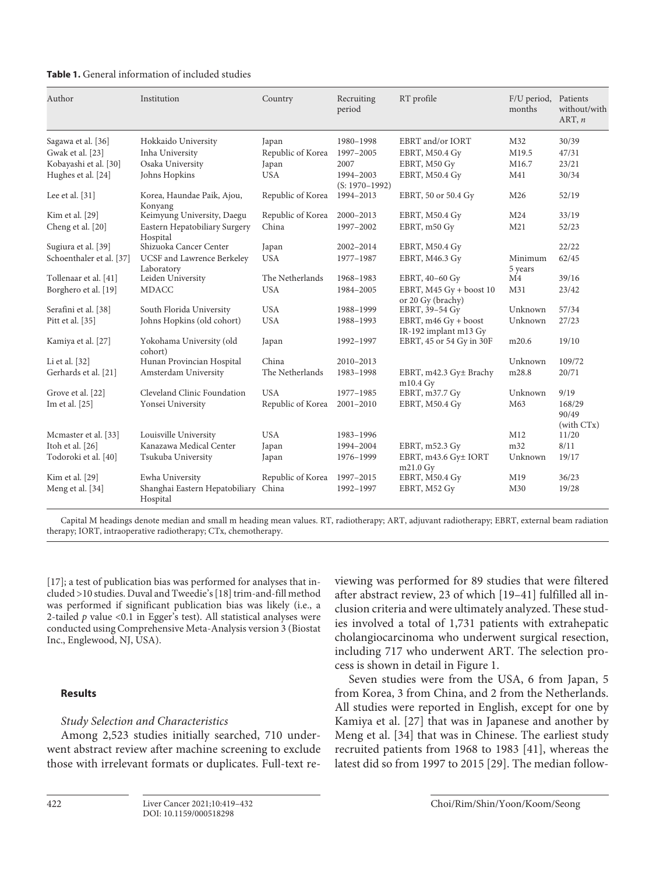| <b>Table 1.</b> General information of included studies |  |  |  |
|---------------------------------------------------------|--|--|--|
|---------------------------------------------------------|--|--|--|

| Author                   | Institution                                | Country           | Recruiting<br>period            | RT profile                                      | F/U period,<br>months | Patients<br>without/with<br>ART, $n$ |
|--------------------------|--------------------------------------------|-------------------|---------------------------------|-------------------------------------------------|-----------------------|--------------------------------------|
| Sagawa et al. [36]       | Hokkaido University                        | Japan             | 1980-1998                       | EBRT and/or IORT                                | M32                   | 30/39                                |
| Gwak et al. [23]         | Inha University                            | Republic of Korea | 1997-2005                       | EBRT, M50.4 Gy                                  | M19.5                 | 47/31                                |
| Kobayashi et al. [30]    | Osaka University                           | Japan             | 2007                            | EBRT, M50 Gy                                    | M16.7                 | 23/21                                |
| Hughes et al. [24]       | Johns Hopkins                              | <b>USA</b>        | 1994-2003<br>$(S: 1970 - 1992)$ | EBRT, M50.4 Gv                                  | M41                   | 30/34                                |
| Lee et al. $[31]$        | Korea, Haundae Paik, Ajou,<br>Konyang      | Republic of Korea | 1994-2013                       | EBRT, 50 or 50.4 Gy                             | M26                   | 52/19                                |
| Kim et al. [29]          | Keimyung University, Daegu                 | Republic of Korea | 2000-2013                       | EBRT, M50.4 Gy                                  | M24                   | 33/19                                |
| Cheng et al. [20]        | Eastern Hepatobiliary Surgery<br>Hospital  | China             | 1997-2002                       | EBRT, m50 Gy                                    | M21                   | 52/23                                |
| Sugiura et al. [39]      | Shizuoka Cancer Center                     | Japan             | 2002-2014                       | EBRT, M50.4 Gy                                  |                       | 22/22                                |
| Schoenthaler et al. [37] | UCSF and Lawrence Berkeley<br>Laboratory   | <b>USA</b>        | 1977-1987                       | EBRT, M46.3 Gy                                  | Minimum<br>5 years    | 62/45                                |
| Tollenaar et al. [41]    | Leiden University                          | The Netherlands   | 1968-1983                       | EBRT, 40-60 Gy                                  | M4                    | 39/16                                |
| Borghero et al. [19]     | <b>MDACC</b>                               | <b>USA</b>        | 1984-2005                       | EBRT, $M45 Gy + boost 10$<br>or 20 Gy (brachy)  | M31                   | 23/42                                |
| Serafini et al. [38]     | South Florida University                   | <b>USA</b>        | 1988-1999                       | EBRT, 39-54 Gy                                  | Unknown               | 57/34                                |
| Pitt et al. [35]         | Johns Hopkins (old cohort)                 | <b>USA</b>        | 1988-1993                       | EBRT, $m46$ Gy + boost<br>IR-192 implant m13 Gy | Unknown               | 27/23                                |
| Kamiya et al. [27]       | Yokohama University (old<br>cohort)        | Japan             | 1992-1997                       | EBRT, 45 or 54 Gy in 30F                        | m20.6                 | 19/10                                |
| Li et al. [32]           | Hunan Provincian Hospital                  | China             | 2010-2013                       |                                                 | Unknown               | 109/72                               |
| Gerhards et al. [21]     | Amsterdam University                       | The Netherlands   | 1983-1998                       | EBRT, m42.3 Gy± Brachy<br>$m10.4$ Gy            | m28.8                 | 20/71                                |
| Grove et al. [22]        | Cleveland Clinic Foundation                | <b>USA</b>        | 1977-1985                       | EBRT, m37.7 Gy                                  | Unknown               | 9/19                                 |
| Im et al. [25]           | Yonsei University                          | Republic of Korea | $2001 - 2010$                   | EBRT, M50.4 Gy                                  | M63                   | 168/29<br>90/49<br>(with CTx)        |
| Mcmaster et al. [33]     | Louisville University                      | <b>USA</b>        | 1983-1996                       |                                                 | M12                   | 11/20                                |
| Itoh et al. [26]         | Kanazawa Medical Center                    | Japan             | 1994-2004                       | EBRT, m52.3 Gy                                  | m32                   | 8/11                                 |
| Todoroki et al. [40]     | Tsukuba University                         | Japan             | 1976-1999                       | EBRT, m43.6 Gy± IORT<br>$m21.0$ Gy              | Unknown               | 19/17                                |
| Kim et al. [29]          | Ewha University                            | Republic of Korea | 1997-2015                       | EBRT, M50.4 Gy                                  | M19                   | 36/23                                |
| Meng et al. [34]         | Shanghai Eastern Hepatobiliary<br>Hospital | China             | 1992-1997                       | EBRT, M52 Gv                                    | M30                   | 19/28                                |

Capital M headings denote median and small m heading mean values. RT, radiotherapy; ART, adjuvant radiotherapy; EBRT, external beam radiation therapy; IORT, intraoperative radiotherapy; CTx, chemotherapy.

<span id="page-3-1"></span><span id="page-3-0"></span>[[1](#page-12-0)[7\]](#page-12-4); a test of publication bias was performed for analyses that included >10 studies. Duval and Tweedie's [\[1](#page-12-0)[8](#page-12-5)] trim-and-fill method was performed if significant publication bias was likely (i.e., a 2-tailed *p* value <0.1 in Egger's test). All statistical analyses were conducted using Comprehensive Meta-Analysis version 3 (Biostat Inc., Englewood, NJ, USA).

# **Results**

# *Study Selection and Characteristics*

Among 2,523 studies initially searched, 710 underwent abstract review after machine screening to exclude those with irrelevant formats or duplicates. Full-text re<span id="page-3-2"></span>viewing was performed for 89 studies that were filtered after abstract review, 23 of which [[1](#page-12-0)[9](#page-12-7)–[4](#page-12-6)[1\]](#page-12-0) fulfilled all inclusion criteria and were ultimately analyzed. These studies involved a total of 1,731 patients with extrahepatic cholangiocarcinoma who underwent surgical resection, including 717 who underwent ART. The selection process is shown in detail in Figure 1.

Seven studies were from the USA, 6 from Japan, 5 from Korea, 3 from China, and 2 from the Netherlands. All studies were reported in English, except for one by Kamiya et al. [[2](#page-12-1)[7](#page-12-4)] that was in Japanese and another by Meng et al. [\[3](#page-12-2)[4](#page-12-6)] that was in Chinese. The earliest study recruited patients from 1968 to 1983 [[4](#page-12-6)[1](#page-12-0)], whereas the latest did so from 1997 to 2015 [[2](#page-12-1)[9](#page-12-7)]. The median follow-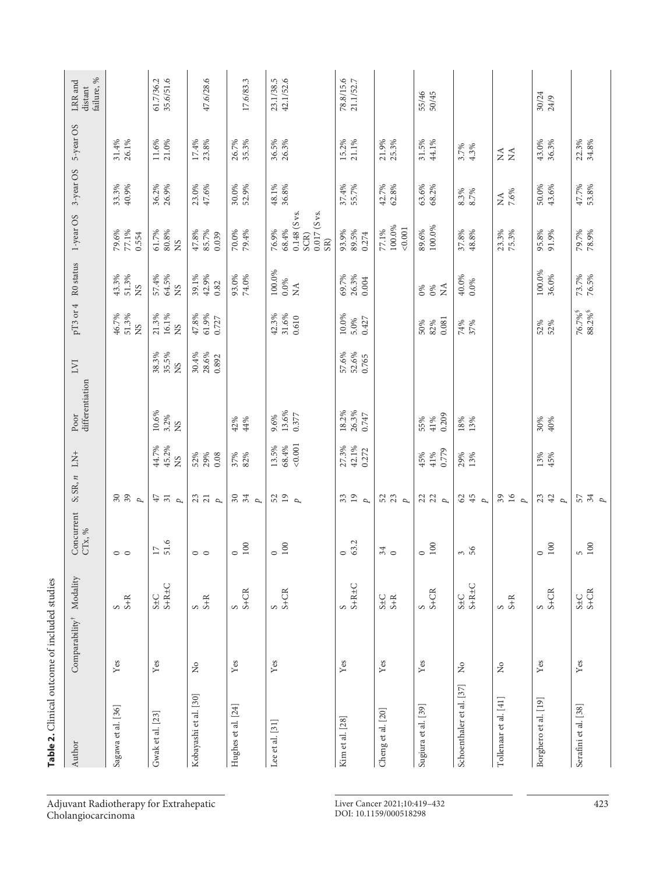| Table 2. Clinical outcome of included studies |                                |                                             |                      |                                         |                         |                               |                                                          |                                          |                                           |                                                                   |                      |                   |                                  |
|-----------------------------------------------|--------------------------------|---------------------------------------------|----------------------|-----------------------------------------|-------------------------|-------------------------------|----------------------------------------------------------|------------------------------------------|-------------------------------------------|-------------------------------------------------------------------|----------------------|-------------------|----------------------------------|
| Author                                        | $Comparability^{\dagger}$      | Modality                                    | Concurrent CTx, $\%$ | $S; SR, n$ LN+                          |                         | Poor<br>differentiation       | LVI                                                      |                                          | pT3 or 4 R0 status                        | 1-year OS                                                         | 3-year OS            | 5-year OS         | failure, %<br>LRR and<br>distant |
| Sagawa et al. [36]                            | Yes                            | $S+R$                                       | $\circ$ $\circ$      | $\begin{array}{c} 30 \\ 39 \end{array}$ |                         |                               |                                                          | 46.7%<br>51.3%<br><b>NS</b>              | 43.3%<br>51.3%<br>SN                      | 77.1%<br>79.6%<br>0.554                                           | 33.3%<br>40.9%       | 31.4%<br>26.1%    |                                  |
| Gwak et al. [23]                              | Yes                            | $S \pm C$<br>$S + R \pm C$                  | 51.6<br>$17\,$       | $47$ $31$<br>$\overline{p}$             | 45.2%<br>44.7%<br>XS    | $10.6\%$<br>3.2%<br><b>NS</b> | 38.3%<br>35.5%<br><b>NS</b>                              | 21.3%<br>16.1%<br>SN                     | 64.5%<br>57.4%<br>SN                      | $61.7\%$<br>80.8%<br><b>NS</b>                                    | 36.2%<br>26.9%       | 11.6%<br>21.0%    | 35.6/51.6<br>61.7/36.2           |
| Kobayashi et al. [30]                         | $\stackrel{\circ}{\mathbb{X}}$ | $S+R$                                       | $\circ$ $\circ$      | 23<br>$\overline{p}$                    | 29%<br>52%<br>0.08      |                               | $\begin{array}{l} 30.4\% \\ 28.6\% \\ 0.892 \end{array}$ | 47.8%<br>61.9%<br>0.727                  | 39.1%<br>42.9%<br>0.82                    | 47.8%<br>85.7%<br>0.039                                           | 23.0%<br>47.6%       | 17.4%<br>23.8%    | 47.6/28.6                        |
| Hughes et al. [24]                            | Yes                            | $\frac{S}{S+CR}$                            | $100\,$<br>$\circ$   | 304                                     | 82%<br>37%              | 42%<br>44%                    |                                                          |                                          | $74.0\%$<br>93.0%                         | 70.0%<br>79.4%                                                    | 30.0%<br>52.9%       | 26.7%<br>35.3%    | 17.6/83.3                        |
| Lee et al. [31]                               | Yes                            | $\begin{array}{c} 5 \\ -5 + CR \end{array}$ | $100\,$<br>$\circ$   | $52$ $19$<br>$\overline{p}$             | 0.001<br>13.5%<br>68.4% | 13.6%<br>0.377<br>9.6%        |                                                          | 42.3%<br>31.6%<br>0.610                  | 100.0%<br>$0.0\%$<br>$\tilde{\mathbf{z}}$ | $0.148$ (S vs.<br>$0.017$ (S vs.<br>76.9%<br>68.4%<br>SCR)<br>SR) | 48.1%<br>$36.8\%$    | 36.5%<br>26.3%    | 42.1/52.6<br>23.1/38.5           |
| Kim et al. [28]                               | Yes                            | $S+R\pm C$<br>S                             | 63.2<br>$\circ$      | 33<br>$\overline{p}$                    | 27.3%<br>42.1%<br>0.272 | 18.2%<br>26.3%<br>0.747       | 57.6%<br>52.6%<br>0.765                                  | 10.0%<br>5.0%<br>0.427                   | 69.7%<br>26.3%<br>0.004                   | 89.5%<br>93.9%<br>0.274                                           | 37.4%<br>55.7%       | 15.2%<br>$21.1\%$ | 78.8/15.6<br>21.1/52.7           |
| Cheng et al. [20]                             | Yes                            | $S \pm C$<br>$S + R$                        | 34                   | 52<br>23<br>$\overline{p}$              |                         |                               |                                                          |                                          |                                           | 100.0%<br>0.001<br>77.1%                                          | 42.7%<br>62.8%       | 21.9%<br>25.3%    |                                  |
| Sugiura et al. [39]                           | Yes                            | $\frac{S}{S+CR}$                            | $100\,$<br>$\circ$   | $\begin{array}{c} 23 \\ 24 \end{array}$ | 0.779<br>45%<br>41%     | 0.209<br>55%<br>41%           |                                                          | 0.081<br>50%<br>82%                      | $\tilde{z}$<br>0%<br>$0\%$                | $89.6\%$<br>100.0%                                                | $63.6\%$<br>$68.2\%$ | 31.5%<br>44.1%    | 55/46<br>50/45                   |
| Schoenthaler et al. [37]                      | $\stackrel{\circ}{\mathbb{X}}$ | $S \pm C$<br>$S + R \pm C$                  | $3\,6$               | $62$<br>$\overline{p}$                  | 29%<br>13%              | $\frac{18%}{13%}$             |                                                          | 74%<br>37%                               | 40.0%<br>$0.0\%$                          | 37.8%<br>48.8%                                                    | 8.3%<br>8.7%         | $3.7\%$<br>4.3%   |                                  |
| Tollenaar et al. [41]                         | $\frac{1}{2}$                  | $S+R$                                       |                      | $39$ 16<br>Þ                            |                         |                               |                                                          |                                          |                                           | 23.3%<br>75.3%                                                    | $\rm NA$ 7.6%        | $Z \nleq$         |                                  |
| Borghero et al. [19]                          | Yes                            | $\frac{S}{S+CR}$                            | $100\,$<br>$\circ$   | 23<br>42<br>$\mu$                       | 13%<br>45%              | 30%<br>40%                    |                                                          | 52%<br>52%                               | $100.0\%$<br>36.0%                        | 95.8%<br>91.9%                                                    | 50.0%<br>43.6%       | 43.0%<br>36.3%    | 30/24<br>24/9                    |
| Serafini et al. [38]                          | Yes                            | $S + C$<br>$S + C$ R                        | 100<br>S.            | $57$<br>$4$<br>$P$                      |                         |                               |                                                          | 76.7% <sup>§</sup><br>88.2% <sup>§</sup> | 73.7%<br>76.5%                            | 79.7%<br>78.9%                                                    | 47.7%<br>53.8%       | 22.3%<br>34.8%    |                                  |

Adjuvant Radiotherapy for Extrahepatic Cholangiocarcinoma

Liver Cancer 2021;10:419–432 423 DOI: 10.1159/000518298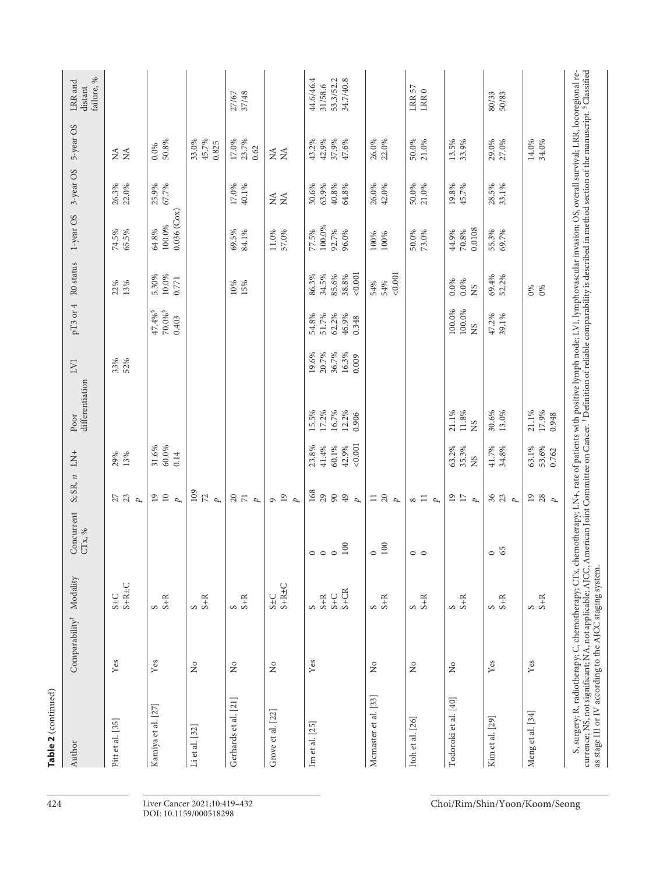| Table 2 (continued)                                                                                                                                                                                                                                                                          |                                       |                            |                                |                                                      |                                             |                                           |                                           |                                                         |                                             |                                             |                                                 |                                             |                                                |
|----------------------------------------------------------------------------------------------------------------------------------------------------------------------------------------------------------------------------------------------------------------------------------------------|---------------------------------------|----------------------------|--------------------------------|------------------------------------------------------|---------------------------------------------|-------------------------------------------|-------------------------------------------|---------------------------------------------------------|---------------------------------------------|---------------------------------------------|-------------------------------------------------|---------------------------------------------|------------------------------------------------|
| Author                                                                                                                                                                                                                                                                                       | Comparability <sup>†</sup> Modality   |                            | Concurrent<br>CTx, $\%$        | S; SR, n                                             | $\Gamma_{\!N\!A}^+$                         | differentiation<br>Poor                   | <b>LVI</b>                                | $pT3$ or 4                                              | R <sub>0</sub> status                       | 1-year OS                                   | 3-year OS                                       | 5-year OS                                   | failure, %<br>LRR and<br>distant               |
| Pitt et al. [35]                                                                                                                                                                                                                                                                             | $\mathbf{Yes}$                        | $S+R\pm C$<br>$S \pm C$    |                                | $27$<br>$23$<br>$p$                                  | 29%<br>13%                                  |                                           | 33%<br>52%                                |                                                         | 22%<br>13%                                  | 74.5%<br>65.5%                              | 26.3%<br>22.0%                                  | Ź<br>$\tilde{\mathbf{z}}$                   |                                                |
| Kamiya et al. [27]                                                                                                                                                                                                                                                                           | Yes                                   | $S+R$                      |                                | $\overline{10}$<br>$\overline{19}$<br>$\overline{p}$ | 31.6%<br>60.0%<br>0.14                      |                                           |                                           | $70.0\%$ <sup>§</sup><br>$47.4\%$ <sup>§</sup><br>0.403 | 5.30%<br>$10.0\%$<br>0.771                  | $0.036$ ( $\text{Cox}$ )<br>100.0%<br>64.8% | 25.9%<br>67.7%                                  | $0.0\%$<br>50.8%                            |                                                |
| Li et al. [32]                                                                                                                                                                                                                                                                               | $\stackrel{\circ}{\phantom{}_{\sim}}$ | $S+R$                      |                                | 109<br>$\mathbb{Z}$<br>$\overline{p}$                |                                             |                                           |                                           |                                                         |                                             |                                             |                                                 | 45.7%<br>33.0%<br>0.825                     |                                                |
| Gerhards et al. [21]                                                                                                                                                                                                                                                                         | $\stackrel{\circ}{\mathbf{Z}}$        | $S+R$                      |                                | $\stackrel{<}{_{\sim}} 2$<br>$\overline{p}$          |                                             |                                           |                                           |                                                         | 10%<br>15%                                  | 69.5%<br>84.1%                              | 17.0%<br>40.1%                                  | 23.7%<br>17.0%<br>0.62                      | 37/48<br>27/67                                 |
| Grove et al. [22]                                                                                                                                                                                                                                                                            | $\stackrel{\mathtt{o}}{\mathsf{z}}$   | $S+R\pm C$<br>$S \pm C$    |                                | 19<br>$\overline{p}$<br>$\sigma$                     |                                             |                                           |                                           |                                                         |                                             | 11.0%<br>57.0%                              | $\stackrel{\prec}{\geq} \stackrel{\prec}{\geq}$ | $\tilde{z}$<br>$\stackrel{\triangle}{\geq}$ |                                                |
| Im et al. [25]                                                                                                                                                                                                                                                                               | $\mathbf{Yes}$                        | $S + CR$<br>$S+C$<br>$S+R$ | 100<br>$\circ$ $\circ$ $\circ$ | 168<br>29<br>$90$<br>$49$<br>$\overline{p}$          | < 0.001<br>41.4%<br>60.1%<br>42.9%<br>23.8% | 17.2%<br>16.7%<br>12.2%<br>15.5%<br>0.906 | 20.7%<br>36.7%<br>19.6%<br>16.3%<br>0.009 | 54.8%<br>51.7%<br>62.2%<br>46.9%<br>0.348               | < 0.001<br>85.6%<br>38.8%<br>86.3%<br>34.5% | 100.0%<br>92.7%<br>77.5%<br>96.0%           | 30.6%<br>63.9%<br>40.8%<br>64.8%                | 42.9%<br>43.2%<br>37.9%<br>47.6%            | 44.6/46.4<br>53.3/52.2<br>34.7/40.8<br>31/58.6 |
| Mcmaster et al. [33]                                                                                                                                                                                                                                                                         | $\rm \stackrel{\circ}{\mathbf{Z}}$    | $S+R$                      | 100<br>$\circ$                 | $\frac{1}{2}$<br>$\overline{p}$                      |                                             |                                           |                                           |                                                         | 0.001<br>54%<br>54%                         | 100%<br>100%                                | 26.0%<br>42.0%                                  | 26.0%<br>22.0%                              |                                                |
| Itoh et al. [26]                                                                                                                                                                                                                                                                             | $\gtrsim$                             | $S+R$                      | $\circ$ $\circ$                | $\Xi$<br>${}^{\circ}$<br>p                           |                                             |                                           |                                           |                                                         |                                             | 50.0%<br>73.0%                              | 50.0%<br>21.0%                                  | 50.0%<br>21.0%                              | $\rm LRR$ 57<br>$\text{LRR}\,0$                |
| Todoroki et al. [40]                                                                                                                                                                                                                                                                         | $\frac{1}{2}$                         | $S+R$                      |                                | $^{19}$<br>$17\,$<br>p                               | 63.2%<br>35.3%<br>XS                        | 11.8%<br>21.1%<br><b>NS</b>               |                                           | 100.0%<br>100.0%<br><b>SN</b>                           | $0.0\%$<br>0.0%<br><b>SK</b>                | 0.0108<br>44.9%<br>70.8%                    | 19.8%<br>45.7%                                  | 13.5%<br>33.9%                              |                                                |
| Kim et al. [29]                                                                                                                                                                                                                                                                              | Yes                                   | $S+R$                      | 65<br>$\circ$                  | 36<br>23<br>$\overline{p}$                           | 41.7%<br>34.8%                              | 30.6%<br>13.0%                            |                                           | 47.2%<br>39.1%                                          | 69.4%<br>52.2%                              | 55.3%<br>69.7%                              | 28.5%<br>33.1%                                  | 29.0%<br>27.0%                              | 80/33<br>50/83                                 |
| Meng et al. [34]                                                                                                                                                                                                                                                                             | Yes                                   | $S+R$                      |                                | 19<br>28<br>$\overline{p}$                           | 63.1%<br>53.6%<br>0.762                     | 21.1%<br>17.9%<br>0.948                   |                                           |                                                         | $0\%$<br>0%                                 |                                             |                                                 | 14.0%<br>34.0%                              |                                                |
| S, surgery; R, radiotherapy; C, chemotherapy; CTx, chemotherapy; LN+, rate of patients with positive lymph node; LVI, lymphovascular invasion; OS, overall survival; LRR, locoregional re-<br>currence; NS, not significant; NA,<br>as stage III or IV according to the AJCC staging system. |                                       |                            |                                |                                                      |                                             |                                           |                                           |                                                         |                                             |                                             |                                                 |                                             |                                                |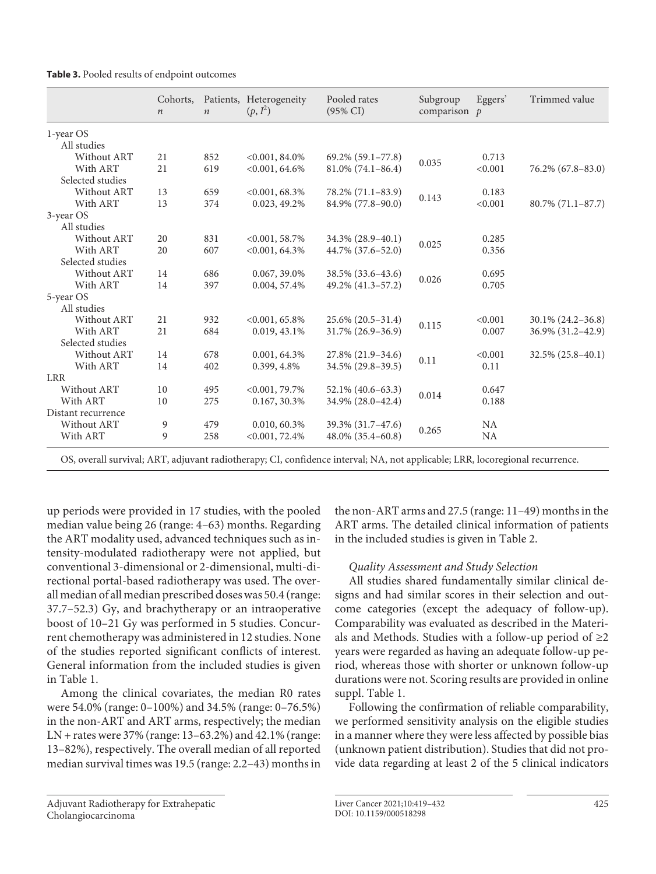|  |  |  |  |  | Table 3. Pooled results of endpoint outcomes |
|--|--|--|--|--|----------------------------------------------|
|--|--|--|--|--|----------------------------------------------|

|                    | Cohorts,<br>$\boldsymbol{n}$ | $\boldsymbol{n}$ | Patients, Heterogeneity<br>$(p, I^2)$ | Pooled rates<br>$(95\% \text{ CI})$ | Subgroup<br>comparison $p$ | Eggers'   | Trimmed value          |
|--------------------|------------------------------|------------------|---------------------------------------|-------------------------------------|----------------------------|-----------|------------------------|
| 1-year OS          |                              |                  |                                       |                                     |                            |           |                        |
| All studies        |                              |                  |                                       |                                     |                            |           |                        |
| Without ART        | 21                           | 852              | $<0.001, 84.0\%$                      | 69.2% (59.1-77.8)                   |                            | 0.713     |                        |
| With ART           | 21                           | 619              | $<0.001, 64.6\%$                      | $81.0\%$ (74.1-86.4)                | 0.035                      | < 0.001   | $76.2\% (67.8 - 83.0)$ |
| Selected studies   |                              |                  |                                       |                                     |                            |           |                        |
| Without ART        | 13                           | 659              | $< 0.001, 68.3\%$                     | 78.2% (71.1-83.9)                   |                            | 0.183     |                        |
| With ART           | 13                           | 374              | 0.023, 49.2%                          | 84.9% (77.8–90.0)                   | 0.143                      | < 0.001   | $80.7\%$ (71.1-87.7)   |
| 3-year OS          |                              |                  |                                       |                                     |                            |           |                        |
| All studies        |                              |                  |                                       |                                     |                            |           |                        |
| Without ART        | 20                           | 831              | $< 0.001, 58.7\%$                     | 34.3% (28.9-40.1)                   | 0.025                      | 0.285     |                        |
| With ART           | 20                           | 607              | $<0.001, 64.3\%$                      | 44.7% (37.6–52.0)                   |                            | 0.356     |                        |
| Selected studies   |                              |                  |                                       |                                     |                            |           |                        |
| Without ART        | 14                           | 686              | 0.067, 39.0%                          | 38.5% (33.6–43.6)                   | 0.026                      | 0.695     |                        |
| With ART           | 14                           | 397              | 0.004, 57.4%                          | 49.2% (41.3-57.2)                   |                            | 0.705     |                        |
| 5-year OS          |                              |                  |                                       |                                     |                            |           |                        |
| All studies        |                              |                  |                                       |                                     |                            |           |                        |
| Without ART        | 21                           | 932              | $<0.001, 65.8\%$                      | $25.6\%$ (20.5-31.4)                | 0.115                      | < 0.001   | $30.1\% (24.2 - 36.8)$ |
| With ART           | 21                           | 684              | 0.019, 43.1%                          | $31.7\%$ (26.9–36.9)                |                            | 0.007     | 36.9% (31.2–42.9)      |
| Selected studies   |                              |                  |                                       |                                     |                            |           |                        |
| Without ART        | 14                           | 678              | 0.001, 64.3%                          | 27.8% (21.9–34.6)                   | 0.11                       | < 0.001   | 32.5% (25.8-40.1)      |
| With ART           | 14                           | 402              | 0.399, 4.8%                           | 34.5% (29.8–39.5)                   |                            | 0.11      |                        |
| <b>LRR</b>         |                              |                  |                                       |                                     |                            |           |                        |
| Without ART        | 10                           | 495              | $<0.001, 79.7\%$                      | 52.1% (40.6–63.3)                   | 0.014                      | 0.647     |                        |
| With ART           | 10                           | 275              | 0.167, 30.3%                          | 34.9% (28.0–42.4)                   |                            | 0.188     |                        |
| Distant recurrence |                              |                  |                                       |                                     |                            |           |                        |
| Without ART        | 9                            | 479              | 0.010, 60.3%                          | 39.3% (31.7–47.6)                   |                            | <b>NA</b> |                        |
| With ART           | 9                            | 258              | $<0.001, 72.4\%$                      | 48.0% (35.4–60.8)                   | 0.265                      | <b>NA</b> |                        |

up periods were provided in 17 studies, with the pooled median value being 26 (range: 4–63) months. Regarding the ART modality used, advanced techniques such as intensity-modulated radiotherapy were not applied, but conventional 3-dimensional or 2-dimensional, multi-directional portal-based radiotherapy was used. The overall median of all median prescribed doses was 50.4 (range: 37.7–52.3) Gy, and brachytherapy or an intraoperative boost of 10–21 Gy was performed in 5 studies. Concurrent chemotherapy was administered in 12 studies. None of the studies reported significant conflicts of interest. General information from the included studies is given in Table 1.

Among the clinical covariates, the median R0 rates were 54.0% (range: 0–100%) and 34.5% (range: 0–76.5%) in the non-ART and ART arms, respectively; the median LN + rates were 37% (range: 13–63.2%) and 42.1% (range: 13–82%), respectively. The overall median of all reported median survival times was 19.5 (range: 2.2–43) months in

Adjuvant Radiotherapy for Extrahepatic Cholangiocarcinoma

the non-ART arms and 27.5 (range: 11–49) months in the ART arms. The detailed clinical information of patients in the included studies is given in Table 2.

# *Quality Assessment and Study Selection*

All studies shared fundamentally similar clinical designs and had similar scores in their selection and outcome categories (except the adequacy of follow-up). Comparability was evaluated as described in the Materials and Methods. Studies with a follow-up period of  $\geq 2$ years were regarded as having an adequate follow-up period, whereas those with shorter or unknown follow-up durations were not. Scoring results are provided in online suppl. Table 1.

Following the confirmation of reliable comparability, we performed sensitivity analysis on the eligible studies in a manner where they were less affected by possible bias (unknown patient distribution). Studies that did not provide data regarding at least 2 of the 5 clinical indicators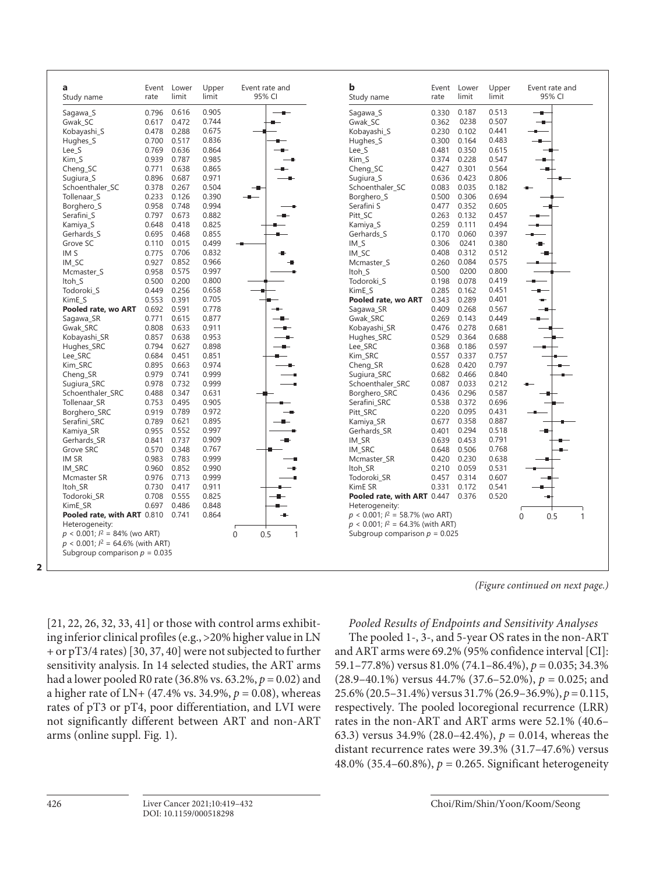| a<br>Study name                                                                | Event<br>rate | Lower<br>limit                  | Upper<br>limit | Event rate and<br>95% CI           | b<br>Study name                         | Event<br>rate | Lower<br>limit | Upper<br>limit | Event rate and<br>95% CI |
|--------------------------------------------------------------------------------|---------------|---------------------------------|----------------|------------------------------------|-----------------------------------------|---------------|----------------|----------------|--------------------------|
| Sagawa S                                                                       | 0.796         | 0.616                           | 0.905          |                                    | Sagawa S                                | 0.330         | 0.187          | 0.513          | --                       |
| Gwak SC                                                                        | 0.617         | 0.472                           | 0.744          |                                    | Gwak SC                                 | 0.362         | 0238           | 0.507          | --                       |
| Kobayashi_S                                                                    | 0.478         | 0.288                           | 0.675          |                                    | Kobayashi_S                             | 0.230         | 0.102          | 0.441          |                          |
| Hughes_S                                                                       | 0.700         | 0.517                           | 0.836          |                                    | Hughes_S                                | 0.300         | 0.164          | 0.483          | ÷                        |
| Lee S                                                                          | 0.769         | 0.636                           | 0.864          |                                    | Lee S                                   | 0.481         | 0.350          | 0.615          |                          |
| Kim_S                                                                          | 0.939         | 0.787                           | 0.985          |                                    | Kim S                                   | 0.374         | 0.228          | 0.547          |                          |
| Cheng SC                                                                       | 0.771         | 0.638                           | 0.865          |                                    | Cheng SC                                | 0.427         | 0.301          | 0.564          |                          |
| Sugiura S                                                                      | 0.896         | 0.687                           | 0.971          |                                    | Sugiura S                               | 0.636         | 0.423          | 0.806          |                          |
| Schoenthaler_SC                                                                | 0.378         | 0.267                           | 0.504          |                                    | Schoenthaler_SC                         | 0.083         | 0.035          | 0.182          |                          |
| Tollenaar S                                                                    | 0.233         | 0.126                           | 0.390          | --                                 | Borghero S                              | 0.500         | 0.306          | 0.694          |                          |
| Borghero_S                                                                     | 0.958         | 0.748                           | 0.994          |                                    | Serafini S                              | 0.477         | 0.352          | 0.605          |                          |
| Serafini S                                                                     | 0.797         | 0.673                           | 0.882          |                                    | Pitt_SC                                 | 0.263         | 0.132          | 0.457          |                          |
| Kamiya S                                                                       | 0.648         | 0.418                           | 0.825          |                                    | Kamiya S                                | 0.259         | 0.111          | 0.494          |                          |
| Gerhards_S                                                                     | 0.695         | 0.468                           | 0.855          |                                    | Gerhards_S                              | 0.170         | 0.060          | 0.397          |                          |
| Grove SC                                                                       | 0.110         | 0.015                           | 0.499          |                                    | $IM_S$                                  | 0.306         | 0241           | 0.380          |                          |
| IM <sub>S</sub>                                                                | 0.775         | 0.706                           | 0.832          |                                    | IM SC                                   | 0.408         | 0.312          | 0.512          | -0                       |
| IM_SC                                                                          | 0.927         | 0.852                           | 0.966          |                                    | Mcmaster_S                              | 0.260         | 0.084          | 0.575          |                          |
| Mcmaster S                                                                     | 0.958         | 0.575                           | 0.997          |                                    | Itoh S                                  | 0.500         | 0200           | 0.800          |                          |
| Itoh S                                                                         | 0.500         | 0.200                           | 0.800          |                                    | Todoroki S                              | 0.198         | 0.078          | 0.419          | $\overline{\phantom{a}}$ |
| Todoroki_S                                                                     | 0.449         | 0.256                           | 0.658          |                                    | KimE S                                  | 0.285         | 0.162          | 0.451          | $\bullet$                |
| KimE S                                                                         | 0.553         | 0.391                           | 0.705          |                                    | Pooled rate, wo ART                     | 0.343         | 0.289          | 0.401          | ÷                        |
| Pooled rate, wo ART                                                            | 0.692         | 0.591                           | 0.778          |                                    | Sagawa_SR                               | 0.409         | 0.268          | 0.567          |                          |
| Sagawa_SR                                                                      | 0.771         | 0.615                           | 0.877          |                                    | Gwak_SRC                                | 0.269         | 0.143          | 0.449          |                          |
| Gwak SRC                                                                       | 0.808         | 0.633                           | 0.911          |                                    | Kobayashi SR                            | 0.476         | 0.278          | 0.681          |                          |
| Kobayashi SR                                                                   | 0.857         | 0.638                           | 0.953          |                                    | Hughes SRC                              | 0.529         | 0.364          | 0.688          |                          |
| Hughes_SRC                                                                     | 0.794         | 0.627                           | 0.898          |                                    | Lee_SRC                                 | 0.368         | 0.186          | 0.597          |                          |
| Lee_SRC                                                                        | 0.684         | 0.451                           | 0.851          |                                    | Kim_SRC                                 | 0.557         | 0.337          | 0.757          |                          |
| Kim_SRC                                                                        | 0.895         | 0.663                           | 0.974          |                                    | Cheng_SR                                | 0.628         | 0.420          | 0.797          |                          |
| Cheng_SR                                                                       | 0.979         | 0.741                           | 0.999          |                                    | Sugiura_SRC                             | 0.682         | 0.466          | 0.840          |                          |
| Sugiura SRC                                                                    | 0.978         | 0.732                           | 0.999          |                                    | Schoenthaler SRC                        | 0.087         | 0.033          | 0.212          |                          |
|                                                                                | 0.488         | 0.347                           | 0.631          |                                    |                                         | 0.436         | 0.296          | 0.587          |                          |
| Schoenthaler SRC                                                               | 0.753         |                                 |                |                                    | Borghero SRC                            |               | 0.372          | 0.696          |                          |
| Tollenaar_SR                                                                   |               | 0.495                           | 0.905          |                                    | Serafini_SRC                            | 0.538         |                |                |                          |
| Borghero_SRC                                                                   | 0.919         | 0.789                           | 0.972          |                                    | Pitt_SRC                                | 0.220         | 0.095          | 0.431          |                          |
| Serafini SRC                                                                   | 0.789         | 0.621                           | 0.895          |                                    | Kamiya_SR                               | 0.677         | 0.358          | 0.887          |                          |
| Kamiya_SR                                                                      | 0.955         | 0.552                           | 0.997          |                                    | Gerhards SR                             | 0.401         | 0.294          | 0.518<br>0.791 |                          |
| Gerhards SR                                                                    | 0.841         | 0.737                           | 0.909          |                                    | IM_SR                                   | 0.639         | 0.453          |                |                          |
| Grove SRC                                                                      | 0.570         | 0.348                           | 0.767          |                                    | IM SRC                                  | 0.648         | 0.506          | 0.768          |                          |
| IM SR                                                                          | 0.983         | 0.783                           | 0.999          |                                    | Mcmaster_SR                             | 0.420         | 0.230          | 0.638          |                          |
| IM_SRC                                                                         | 0.960         | 0.852                           | 0.990          |                                    | ltoh_SR                                 | 0.210         | 0.059          | 0.531          |                          |
| Mcmaster SR                                                                    | 0.976         | 0.713                           | 0.999          |                                    | Todoroki SR                             | 0.457         | 0.314          | 0.607          |                          |
| Itoh_SR                                                                        | 0.730         | 0.417                           | 0.911          |                                    | KimE SR                                 | 0.331         | 0.172          | 0.541          |                          |
| Todoroki SR                                                                    | 0.708         | 0.555                           | 0.825          |                                    | Pooled rate, with ART 0.447             |               | 0.376          | 0.520          |                          |
| KimE SR                                                                        | 0.697         | 0.486                           | 0.848          |                                    | Heterogeneity:                          |               |                |                |                          |
| Pooled rate, with ART 0.810                                                    |               | 0.741                           | 0.864          |                                    | $p < 0.001$ ; $l^2 = 58.7\%$ (wo ART)   |               |                |                | 0.5<br>$\mathbf{0}$      |
| Heterogeneity:                                                                 |               |                                 |                |                                    | $p < 0.001$ ; $l^2 = 64.3\%$ (with ART) |               |                |                |                          |
| $p < 0.001$ ; $l^2 = 84\%$ (wo ART)<br>$p < 0.001$ ; $l^2 = 64.6\%$ (with ART) |               | Subgroup comparison $p = 0.035$ |                | 0.5<br>$\mathbf 0$<br>$\mathbf{1}$ | Subgroup comparison $p = 0.025$         |               |                |                |                          |

*(Figure continued on next page.)*

[\[2](#page-12-1)[1,](#page-12-0) [22](#page-12-1), [2](#page-12-1)[6](#page-12-3), [3](#page-12-2)[2,](#page-12-1) [33,](#page-12-2) [4](#page-12-6)[1\]](#page-12-0) or those with control arms exhibiting inferior clinical profiles (e.g., >20% higher value in LN + or pT3/4 rates) [[3](#page-12-2)0, [3](#page-12-2)[7](#page-12-4), [40](#page-12-6)] were not subjected to further sensitivity analysis. In 14 selected studies, the ART arms had a lower pooled R0 rate (36.8% vs. 63.2%, *p* = 0.02) and a higher rate of LN+ (47.4% vs. 34.9%, *p* = 0.08), whereas rates of pT3 or pT4, poor differentiation, and LVI were not significantly different between ART and non-ART arms (online suppl. Fig. 1).

# *Pooled Results of Endpoints and Sensitivity Analyses*

The pooled 1-, 3-, and 5-year OS rates in the non-ART and ART arms were 69.2% (95% confidence interval [CI]: 59.1–77.8%) versus 81.0% (74.1–86.4%), *p* = 0.035; 34.3% (28.9–40.1%) versus 44.7% (37.6–52.0%), *p* = 0.025; and 25.6% (20.5–31.4%) versus 31.7% (26.9–36.9%), *p* = 0.115, respectively. The pooled locoregional recurrence (LRR) rates in the non-ART and ART arms were 52.1% (40.6– 63.3) versus 34.9% (28.0–42.4%), *p* = 0.014, whereas the distant recurrence rates were 39.3% (31.7–47.6%) versus 48.0% (35.4–60.8%), *p* = 0.265. Significant heterogeneity

**2**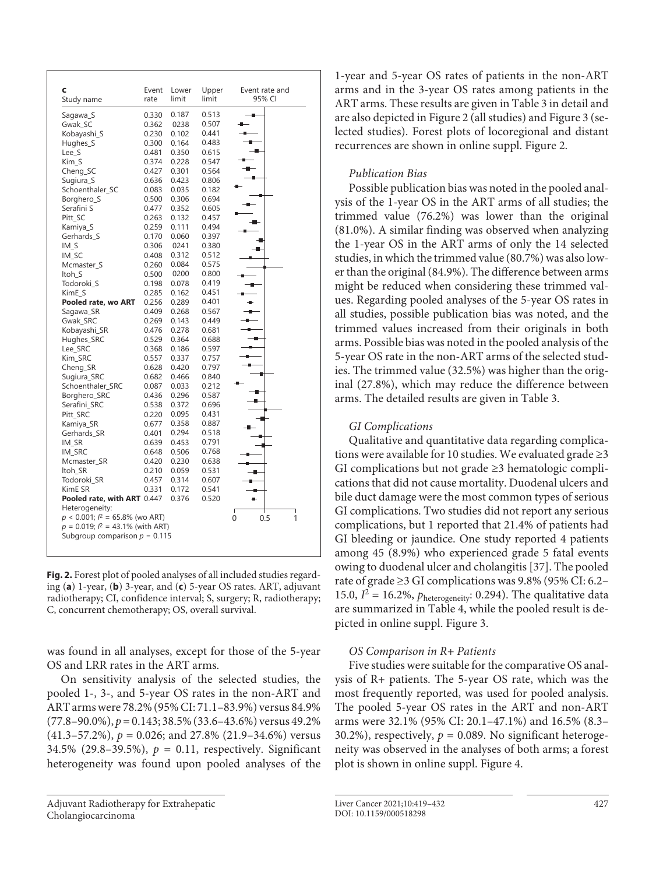| C<br>Study name                         | Event<br>rate                   | Lower<br>limit | Upper<br>limit | Event rate and<br>95% CI |
|-----------------------------------------|---------------------------------|----------------|----------------|--------------------------|
| Sagawa_S                                | 0.330                           | 0.187          | 0.513          |                          |
| Gwak SC                                 | 0.362                           | 0238           | 0.507          |                          |
| Kobayashi_S                             | 0.230                           | 0.102          | 0.441          |                          |
| Hughes_S                                | 0.300                           | 0.164          | 0.483          |                          |
| Lee_S                                   | 0.481                           | 0.350          | 0.615          |                          |
| Kim_S                                   | 0.374                           | 0.228          | 0.547          |                          |
| Cheng_SC                                | 0.427                           | 0.301          | 0.564          |                          |
| Sugiura_S                               | 0.636                           | 0.423          | 0.806          |                          |
| Schoenthaler SC                         | 0.083                           | 0.035          | 0.182          |                          |
|                                         |                                 | 0.306          | 0.694          |                          |
| Borghero_S                              | 0.500                           |                | 0.605          |                          |
| Serafini S                              | 0.477                           | 0.352          |                |                          |
| Pitt SC                                 | 0.263                           | 0.132          | 0.457          |                          |
| Kamiya_S                                | 0.259                           | 0.111          | 0.494          |                          |
| Gerhards_S                              | 0.170                           | 0.060          | 0.397          |                          |
| IM S                                    | 0.306                           | 0241           | 0.380          |                          |
| IM_SC                                   | 0.408                           | 0.312          | 0.512          |                          |
| Mcmaster_S                              | 0.260                           | 0.084          | 0.575          |                          |
| Itoh_S                                  | 0.500                           | 0200           | 0.800          |                          |
| Todoroki S                              | 0.198                           | 0.078          | 0.419          |                          |
| KimE_S                                  | 0.285                           | 0.162          | 0.451          |                          |
| Pooled rate, wo ART                     | 0.256                           | 0.289          | 0.401          |                          |
| Sagawa_SR                               | 0.409                           | 0.268          | 0.567          |                          |
| Gwak_SRC                                | 0.269                           | 0.143          | 0.449          |                          |
| Kobayashi_SR                            | 0.476                           | 0.278          | 0.681          |                          |
| Hughes_SRC                              | 0.529                           | 0.364          | 0.688          |                          |
| Lee_SRC                                 | 0.368                           | 0.186          | 0.597          |                          |
| Kim_SRC                                 | 0.557                           | 0.337          | 0.757          |                          |
| Cheng_SR                                | 0.628                           | 0.420          | 0.797          |                          |
| Sugiura_SRC                             | 0.682                           | 0.466          | 0.840          |                          |
| Schoenthaler_SRC                        | 0.087                           | 0.033          | 0.212          |                          |
| Borghero_SRC                            | 0.436                           | 0.296          | 0.587          |                          |
| Serafini_SRC                            | 0.538                           | 0.372          | 0.696          |                          |
| Pitt_SRC                                | 0.220                           | 0.095          | 0.431          |                          |
| Kamiya_SR                               | 0.677                           | 0.358          | 0.887          |                          |
| Gerhards_SR                             | 0.401                           | 0.294          | 0.518          |                          |
| IM_SR                                   | 0.639                           | 0.453          | 0.791          |                          |
| IM_SRC                                  | 0.648                           | 0.506          | 0.768          |                          |
| Mcmaster_SR                             | 0.420                           | 0.230          | 0.638          |                          |
| Itoh SR                                 | 0.210                           | 0.059          | 0.531          |                          |
| Todoroki_SR                             | 0.457                           | 0.314          | 0.607          |                          |
| KimE SR                                 | 0.331                           | 0.172          | 0.541          |                          |
| Pooled rate, with ART 0.447             |                                 | 0.376          | 0.520          |                          |
| Heterogeneity:                          |                                 |                |                |                          |
| $p < 0.001$ ; $l^2 = 65.8\%$ (wo ART)   |                                 |                |                |                          |
| $p = 0.019$ ; $l^2 = 43.1\%$ (with ART) |                                 |                |                | 0<br>0.5                 |
|                                         | Subgroup comparison $p = 0.115$ |                |                |                          |

**Fig. 2.** Forest plot of pooled analyses of all included studies regarding (**a**) 1-year, (**b**) 3-year, and (**c**) 5-year OS rates. ART, adjuvant radiotherapy; CI, confidence interval; S, surgery; R, radiotherapy; C, concurrent chemotherapy; OS, overall survival.

was found in all analyses, except for those of the 5-year OS and LRR rates in the ART arms.

On sensitivity analysis of the selected studies, the pooled 1-, 3-, and 5-year OS rates in the non-ART and ART arms were 78.2% (95% CI: 71.1–83.9%) versus 84.9% (77.8–90.0%), *p* = 0.143; 38.5% (33.6–43.6%) versus 49.2% (41.3–57.2%), *p* = 0.026; and 27.8% (21.9–34.6%) versus 34.5% (29.8-39.5%),  $p = 0.11$ , respectively. Significant heterogeneity was found upon pooled analyses of the

1-year and 5-year OS rates of patients in the non-ART arms and in the 3-year OS rates among patients in the ART arms. These results are given in Table 3 in detail and are also depicted in Figure 2 (all studies) and Figure 3 (selected studies). Forest plots of locoregional and distant recurrences are shown in online suppl. Figure 2.

# *Publication Bias*

Possible publication bias was noted in the pooled analysis of the 1-year OS in the ART arms of all studies; the trimmed value (76.2%) was lower than the original (81.0%). A similar finding was observed when analyzing the 1-year OS in the ART arms of only the 14 selected studies, in which the trimmed value (80.7%) was also lower than the original (84.9%). The difference between arms might be reduced when considering these trimmed values. Regarding pooled analyses of the 5-year OS rates in all studies, possible publication bias was noted, and the trimmed values increased from their originals in both arms. Possible bias was noted in the pooled analysis of the 5-year OS rate in the non-ART arms of the selected studies. The trimmed value (32.5%) was higher than the original (27.8%), which may reduce the difference between arms. The detailed results are given in Table 3.

# *GI Complications*

Qualitative and quantitative data regarding complications were available for 10 studies. We evaluated grade  $\geq$ 3 GI complications but not grade ≥3 hematologic complications that did not cause mortality. Duodenal ulcers and bile duct damage were the most common types of serious GI complications. Two studies did not report any serious complications, but 1 reported that 21.4% of patients had GI bleeding or jaundice. One study reported 4 patients among 45 (8.9%) who experienced grade 5 fatal events owing to duodenal ulcer and cholangitis [\[3](#page-12-2)[7\]](#page-12-4). The pooled rate of grade ≥3 GI complications was 9.8% (95% CI: 6.2– 15.0,  $I^2 = 16.2\%$ ,  $p_{heterogeneity}$ : 0.294). The qualitative data are summarized in Table 4, while the pooled result is depicted in online suppl. Figure 3.

# *OS Comparison in R+ Patients*

Five studies were suitable for the comparative OS analysis of R+ patients. The 5-year OS rate, which was the most frequently reported, was used for pooled analysis. The pooled 5-year OS rates in the ART and non-ART arms were 32.1% (95% CI: 20.1–47.1%) and 16.5% (8.3– 30.2%), respectively,  $p = 0.089$ . No significant heterogeneity was observed in the analyses of both arms; a forest plot is shown in online suppl. Figure 4.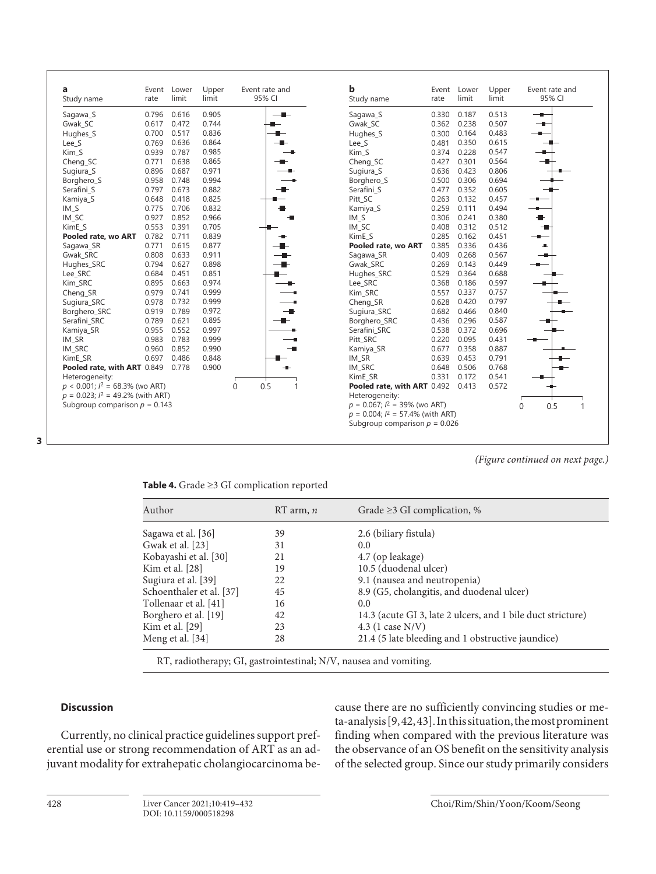| a<br>Study name                         | Event<br>rate | Lower<br>limit | Upper<br>limit | Event rate and<br>95% CI | b<br>Study name                         | Event<br>rate | Lower<br>limit | Upper<br>limit | Event rate and<br>95% CI |
|-----------------------------------------|---------------|----------------|----------------|--------------------------|-----------------------------------------|---------------|----------------|----------------|--------------------------|
| Sagawa_S                                | 0.796         | 0.616          | 0.905          | $-$                      | Sagawa_S                                | 0.330         | 0.187          | 0.513          | $-$                      |
| Gwak SC                                 | 0.617         | 0.472          | 0.744          | ┻                        | Gwak SC                                 | 0.362         | 0.238          | 0.507          | $\overline{\phantom{a}}$ |
| Hughes_S                                | 0.700         | 0.517          | 0.836          | ▄                        | Hughes_S                                | 0.300         | 0.164          | 0.483          | —∎–                      |
| Lee_S                                   | 0.769         | 0.636          | 0.864          |                          | Lee_S                                   | 0.481         | 0.350          | 0.615          |                          |
| Kim S                                   | 0.939         | 0.787          | 0.985          |                          | Kim S                                   | 0.374         | 0.228          | 0.547          |                          |
| Cheng_SC                                | 0.771         | 0.638          | 0.865          |                          | Cheng_SC                                | 0.427         | 0.301          | 0.564          |                          |
| Sugiura_S                               | 0.896         | 0.687          | 0.971          |                          | Sugiura_S                               | 0.636         | 0.423          | 0.806          |                          |
| Borghero_S                              | 0.958         | 0.748          | 0.994          |                          | Borghero_S                              | 0.500         | 0.306          | 0.694          |                          |
| Serafini S                              | 0.797         | 0.673          | 0.882          |                          | Serafini S                              | 0.477         | 0.352          | 0.605          |                          |
| Kamiya_S                                | 0.648         | 0.418          | 0.825          |                          | Pitt_SC                                 | 0.263         | 0.132          | 0.457          |                          |
| IM <sub>S</sub>                         | 0.775         | 0.706          | 0.832          |                          | Kamiya_S                                | 0.259         | 0.111          | 0.494          |                          |
| IM_SC                                   | 0.927         | 0.852          | 0.966          | - 1                      | $IM_S$                                  | 0.306         | 0.241          | 0.380          | ₩.                       |
| KimE S                                  | 0.553         | 0.391          | 0.705          |                          | IM_SC                                   | 0.408         | 0.312          | 0.512          |                          |
| Pooled rate, wo ART                     | 0.782         | 0.711          | 0.839          |                          | KimE S                                  | 0.285         | 0.162          | 0.451          |                          |
| Sagawa_SR                               | 0.771         | 0.615          | 0.877          |                          | Pooled rate, wo ART                     | 0.385         | 0.336          | 0.436          | $\blacksquare$           |
| Gwak SRC                                | 0.808         | 0.633          | 0.911          | - 11-                    | Sagawa SR                               | 0.409         | 0.268          | 0.567          |                          |
| Hughes_SRC                              | 0.794         | 0.627          | 0.898          | —∎–                      | Gwak SRC                                | 0.269         | 0.143          | 0.449          |                          |
| Lee_SRC                                 | 0.684         | 0.451          | 0.851          |                          | Hughes_SRC                              | 0.529         | 0.364          | 0.688          |                          |
| Kim_SRC                                 | 0.895         | 0.663          | 0.974          |                          | Lee SRC                                 | 0.368         | 0.186          | 0.597          |                          |
| Cheng_SR                                | 0.979         | 0.741          | 0.999          |                          | Kim SRC                                 | 0.557         | 0.337          | 0.757          |                          |
| Sugiura_SRC                             | 0.978         | 0.732          | 0.999          |                          | Cheng_SR                                | 0.628         | 0.420          | 0.797          |                          |
| Borghero_SRC                            | 0.919         | 0.789          | 0.972          | --                       | Sugiura_SRC                             | 0.682         | 0.466          | 0.840          |                          |
| Serafini SRC                            | 0.789         | 0.621          | 0.895          |                          | Borghero_SRC                            | 0.436         | 0.296          | 0.587          |                          |
| Kamiya_SR                               | 0.955         | 0.552          | 0.997          |                          | Serafini SRC                            | 0.538         | 0.372          | 0.696          |                          |
| IM SR                                   | 0.983         | 0.783          | 0.999          | -9                       | Pitt_SRC                                | 0.220         | 0.095          | 0.431          |                          |
| IM_SRC                                  | 0.960         | 0.852          | 0.990          | $\overline{\phantom{a}}$ | Kamiya_SR                               | 0.677         | 0.358          | 0.887          |                          |
| KimE_SR                                 | 0.697         | 0.486          | 0.848          |                          | IM_SR                                   | 0.639         | 0.453          | 0.791          | <u> —</u>                |
| Pooled rate, with ART 0.849             |               | 0.778          | 0.900          | -⊪                       | IM_SRC                                  | 0.648         | 0.506          | 0.768          | $\blacksquare$           |
| Heterogeneity:                          |               |                |                |                          | KimE SR                                 | 0.331         | 0.172          | 0.541          |                          |
| $p < 0.001$ ; $l^2 = 68.3\%$ (wo ART)   |               |                |                | 0.5<br>0<br>$\mathbf{1}$ | Pooled rate, with ART 0.492             |               | 0.413          | 0.572          |                          |
| $p = 0.023$ ; $l^2 = 49.2\%$ (with ART) |               |                |                |                          | Heterogeneity:                          |               |                |                |                          |
| Subgroup comparison $p = 0.143$         |               |                |                |                          | $p = 0.067$ ; $l^2 = 39\%$ (wo ART)     |               |                |                | 0.5<br>0                 |
|                                         |               |                |                |                          | $p = 0.004$ ; $l^2 = 57.4\%$ (with ART) |               |                |                |                          |
|                                         |               |                |                |                          | Subgroup comparison $p = 0.026$         |               |                |                |                          |

**3**

*(Figure continued on next page.)*

| Table 4. Grade $\geq$ 3 GI complication reported |  |  |
|--------------------------------------------------|--|--|
|--------------------------------------------------|--|--|

| Author                   | $RT$ arm, $n$ | Grade $\geq$ 3 GI complication, %                           |
|--------------------------|---------------|-------------------------------------------------------------|
| Sagawa et al. [36]       | 39            | 2.6 (biliary fistula)                                       |
| Gwak et al. [23]         | 31            | $0.0^{\circ}$                                               |
| Kobayashi et al. [30]    | 21            | 4.7 (op leakage)                                            |
| Kim et al. [28]          | 19            | 10.5 (duodenal ulcer)                                       |
| Sugiura et al. [39]      | 22            | 9.1 (nausea and neutropenia)                                |
| Schoenthaler et al. [37] | 45            | 8.9 (G5, cholangitis, and duodenal ulcer)                   |
| Tollenaar et al. [41]    | 16            | 0.0                                                         |
| Borghero et al. [19]     | 42            | 14.3 (acute GI 3, late 2 ulcers, and 1 bile duct stricture) |
| Kim et al. [29]          | 23            | 4.3 $(1 \case N/V)$                                         |
| Meng et al. [34]         | 28            | 21.4 (5 late bleeding and 1 obstructive jaundice)           |

RT, radiotherapy; GI, gastrointestinal; N/V, nausea and vomiting.

## **Discussion**

Currently, no clinical practice guidelines support preferential use or strong recommendation of ART as an adjuvant modality for extrahepatic cholangiocarcinoma be<span id="page-9-0"></span>cause there are no sufficiently convincing studies or meta-analysis [[9,](#page-12-7) [4](#page-12-6)[2,](#page-12-1) [4](#page-12-6)[3](#page-12-2)]. In this situation, the most prominent finding when compared with the previous literature was the observance of an OS benefit on the sensitivity analysis of the selected group. Since our study primarily considers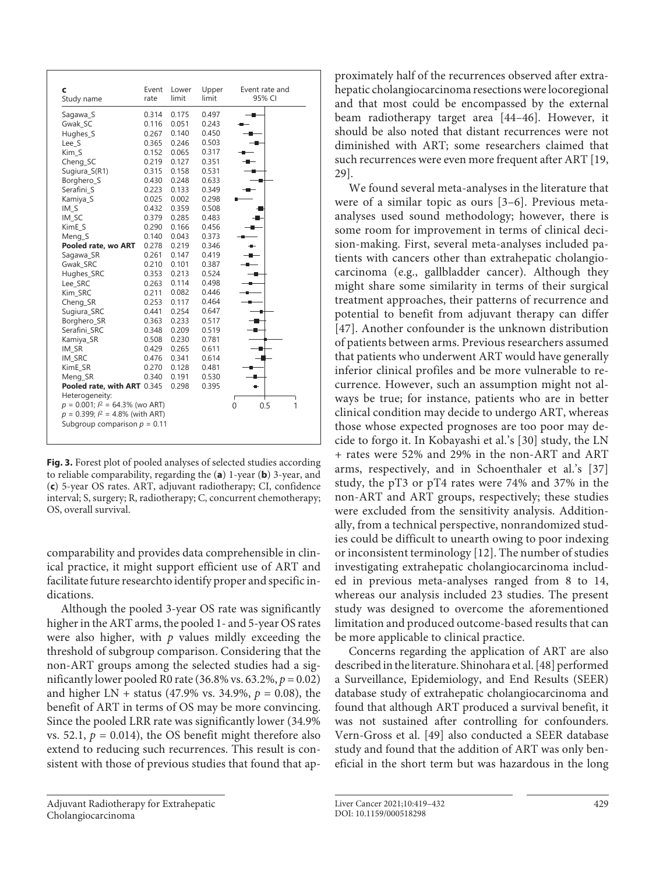| C<br>Study name                        | Event<br>rate | Lower<br>limit | Upper<br>limit | Event rate and<br>95% CI |
|----------------------------------------|---------------|----------------|----------------|--------------------------|
| Sagawa_S                               | 0.314         | 0.175          | 0.497          |                          |
| Gwak SC                                | 0.116         | 0.051          | 0.243          |                          |
| Hughes_S                               | 0.267         | 0.140          | 0.450          |                          |
| Lee S                                  | 0.365         | 0.246          | 0.503          |                          |
| Kim S                                  | 0.152         | 0.065          | 0.317          |                          |
| Cheng_SC                               | 0.219         | 0.127          | 0.351          |                          |
| Sugiura_S(R1)                          | 0.315         | 0.158          | 0.531          |                          |
| Borghero_S                             | 0.430         | 0.248          | 0.633          | ۰                        |
| Serafini_S                             | 0.223         | 0.133          | 0.349          |                          |
| Kamiya_S                               | 0.025         | 0.002          | 0.298          |                          |
| $IM_S$                                 | 0.432         | 0.359          | 0.508          |                          |
| IM_SC                                  | 0.379         | 0.285          | 0.483          |                          |
| KimE_S                                 | 0.290         | 0.166          | 0.456          |                          |
| Meng_S                                 | 0.140         | 0.043          | 0.373          |                          |
| Pooled rate, wo ART                    | 0.278         | 0.219          | 0.346          |                          |
| Sagawa SR                              | 0.261         | 0.147          | 0.419          |                          |
| Gwak SRC                               | 0.210         | 0.101          | 0.387          |                          |
| Hughes_SRC                             | 0.353         | 0.213          | 0.524          |                          |
| Lee_SRC                                | 0.263         | 0.114          | 0.498          |                          |
| Kim_SRC                                | 0.211         | 0.082          | 0.446          |                          |
| Cheng_SR                               | 0.253         | 0.117          | 0.464          |                          |
| Sugiura_SRC                            | 0.441         | 0.254          | 0.647          |                          |
| Borghero_SR                            | 0.363         | 0.233          | 0.517          |                          |
| Serafini SRC                           | 0.348         | 0.209          | 0.519          |                          |
| Kamiya_SR                              | 0.508         | 0.230          | 0.781          |                          |
| IM SR                                  | 0.429         | 0.265          | 0.611          |                          |
| IM_SRC                                 | 0.476         | 0.341          | 0.614          |                          |
| KimE SR                                | 0.270         | 0.128          | 0.481          |                          |
| Meng SR                                | 0.340         | 0.191          | 0.530          |                          |
| Pooled rate, with ART 0.345            |               | 0.298          | 0.395          | ٠                        |
| Heterogeneity:                         |               |                |                |                          |
| $p = 0.001$ ; $l^2 = 64.3\%$ (wo ART)  |               |                |                | $\Omega$<br>0.5          |
| $p = 0.399$ ; $l^2 = 4.8\%$ (with ART) |               |                |                |                          |
| Subgroup comparison $p = 0.11$         |               |                |                |                          |

**Fig. 3.** Forest plot of pooled analyses of selected studies according to reliable comparability, regarding the (**a**) 1-year (**b**) 3-year, and (**c**) 5-year OS rates. ART, adjuvant radiotherapy; CI, confidence interval; S, surgery; R, radiotherapy; C, concurrent chemotherapy; OS, overall survival.

comparability and provides data comprehensible in clinical practice, it might support efficient use of ART and facilitate future researchto identify proper and specific indications.

Although the pooled 3-year OS rate was significantly higher in the ART arms, the pooled 1- and 5-year OS rates were also higher, with  $p$  values mildly exceeding the threshold of subgroup comparison. Considering that the non-ART groups among the selected studies had a significantly lower pooled R0 rate (36.8% vs. 63.2%,  $p = 0.02$ ) and higher LN + status (47.9% vs. 34.9%,  $p = 0.08$ ), the benefit of ART in terms of OS may be more convincing. Since the pooled LRR rate was significantly lower (34.9% vs. 52.1,  $p = 0.014$ ), the OS benefit might therefore also extend to reducing such recurrences. This result is consistent with those of previous studies that found that ap<span id="page-10-0"></span>proximately half of the recurrences observed after extrahepatic cholangiocarcinoma resections were locoregional and that most could be encompassed by the external beam radiotherapy target area [\[44–4](#page-12-6)[6\]](#page-12-3). However, it should be also noted that distant recurrences were not diminished with ART; some researchers claimed that such recurrences were even more frequent after ART [[1](#page-12-0)[9](#page-12-7), [2](#page-12-1)[9\]](#page-12-7).

We found several meta-analyses in the literature that were of a similar topic as ours [[3](#page-12-2)–[6](#page-12-3)]. Previous metaanalyses used sound methodology; however, there is some room for improvement in terms of clinical decision-making. First, several meta-analyses included patients with cancers other than extrahepatic cholangiocarcinoma (e.g., gallbladder cancer). Although they might share some similarity in terms of their surgical treatment approaches, their patterns of recurrence and potential to benefit from adjuvant therapy can differ [[4](#page-12-6)[7\]](#page-12-4). Another confounder is the unknown distribution of patients between arms. Previous researchers assumed that patients who underwent ART would have generally inferior clinical profiles and be more vulnerable to recurrence. However, such an assumption might not always be true; for instance, patients who are in better clinical condition may decide to undergo ART, whereas those whose expected prognoses are too poor may decide to forgo it. In Kobayashi et al.'s [[3](#page-12-2)0] study, the LN + rates were 52% and 29% in the non-ART and ART arms, respectively, and in Schoenthaler et al.'s [\[3](#page-12-2)[7\]](#page-12-4) study, the pT3 or pT4 rates were 74% and 37% in the non-ART and ART groups, respectively; these studies were excluded from the sensitivity analysis. Additionally, from a technical perspective, nonrandomized studies could be difficult to unearth owing to poor indexing or inconsistent terminology [[1](#page-12-0)[2\]](#page-12-1). The number of studies investigating extrahepatic cholangiocarcinoma included in previous meta-analyses ranged from 8 to 14, whereas our analysis included 23 studies. The present study was designed to overcome the aforementioned limitation and produced outcome-based results that can be more applicable to clinical practice.

Concerns regarding the application of ART are also described in the literature. Shinohara et al. [[4](#page-12-6)[8\]](#page-12-5) performed a Surveillance, Epidemiology, and End Results (SEER) database study of extrahepatic cholangiocarcinoma and found that although ART produced a survival benefit, it was not sustained after controlling for confounders. Vern-Gross et al. [\[4](#page-12-6)[9\]](#page-12-7) also conducted a SEER database study and found that the addition of ART was only beneficial in the short term but was hazardous in the long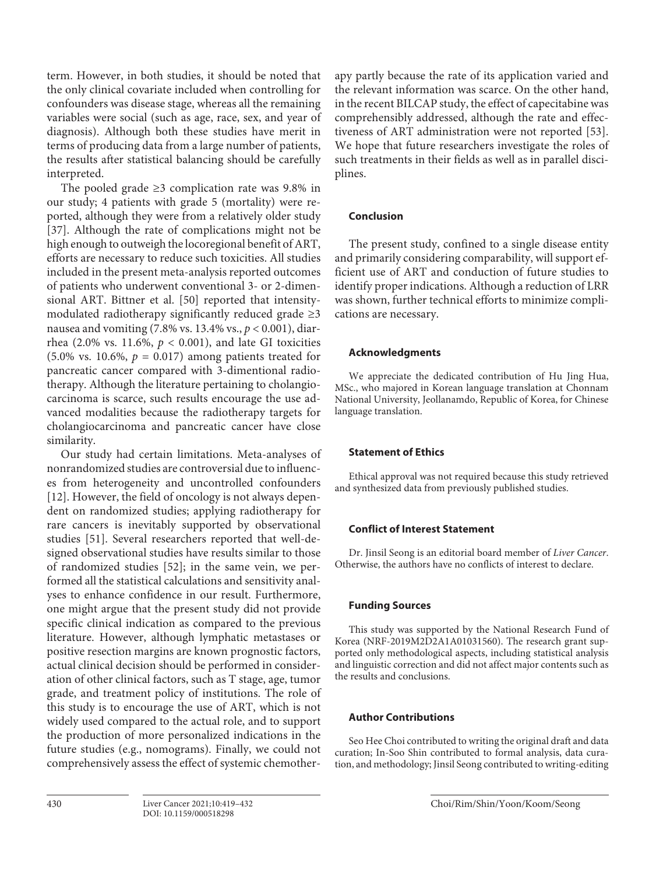term. However, in both studies, it should be noted that the only clinical covariate included when controlling for confounders was disease stage, whereas all the remaining variables were social (such as age, race, sex, and year of diagnosis). Although both these studies have merit in terms of producing data from a large number of patients, the results after statistical balancing should be carefully interpreted.

The pooled grade  $\geq$ 3 complication rate was 9.8% in our study; 4 patients with grade 5 (mortality) were reported, although they were from a relatively older study [\[3](#page-12-2)[7\]](#page-12-4). Although the rate of complications might not be high enough to outweigh the locoregional benefit of ART, efforts are necessary to reduce such toxicities. All studies included in the present meta-analysis reported outcomes of patients who underwent conventional 3- or 2-dimensional ART. Bittner et al. [\[50](#page-12-8)] reported that intensitymodulated radiotherapy significantly reduced grade  $\geq$ 3 nausea and vomiting (7.8% vs. 13.4% vs., *p* < 0.001), diarrhea (2.0% vs. 11.6%,  $p < 0.001$ ), and late GI toxicities  $(5.0\% \text{ vs. } 10.6\%, p = 0.017)$  among patients treated for pancreatic cancer compared with 3-dimentional radiotherapy. Although the literature pertaining to cholangiocarcinoma is scarce, such results encourage the use advanced modalities because the radiotherapy targets for cholangiocarcinoma and pancreatic cancer have close similarity.

Our study had certain limitations. Meta-analyses of nonrandomized studies are controversial due to influences from heterogeneity and uncontrolled confounders [\[1](#page-12-0)[2\]](#page-12-1). However, the field of oncology is not always dependent on randomized studies; applying radiotherapy for rare cancers is inevitably supported by observational studies [\[5](#page-12-8)[1\]](#page-12-0). Several researchers reported that well-designed observational studies have results similar to those of randomized studies [[5](#page-12-8)[2](#page-12-1)]; in the same vein, we performed all the statistical calculations and sensitivity analyses to enhance confidence in our result. Furthermore, one might argue that the present study did not provide specific clinical indication as compared to the previous literature. However, although lymphatic metastases or positive resection margins are known prognostic factors, actual clinical decision should be performed in consideration of other clinical factors, such as T stage, age, tumor grade, and treatment policy of institutions. The role of this study is to encourage the use of ART, which is not widely used compared to the actual role, and to support the production of more personalized indications in the future studies (e.g., nomograms). Finally, we could not comprehensively assess the effect of systemic chemotherapy partly because the rate of its application varied and the relevant information was scarce. On the other hand, in the recent BILCAP study, the effect of capecitabine was comprehensibly addressed, although the rate and effectiveness of ART administration were not reported [[5](#page-12-8)[3](#page-12-2)]. We hope that future researchers investigate the roles of such treatments in their fields as well as in parallel disciplines.

# **Conclusion**

The present study, confined to a single disease entity and primarily considering comparability, will support efficient use of ART and conduction of future studies to identify proper indications. Although a reduction of LRR was shown, further technical efforts to minimize complications are necessary.

# **Acknowledgments**

We appreciate the dedicated contribution of Hu Jing Hua, MSc., who majored in Korean language translation at Chonnam National University, Jeollanamdo, Republic of Korea, for Chinese language translation.

# **Statement of Ethics**

Ethical approval was not required because this study retrieved and synthesized data from previously published studies.

# **Conflict of Interest Statement**

Dr. Jinsil Seong is an editorial board member of *Liver Cancer*. Otherwise, the authors have no conflicts of interest to declare.

## **Funding Sources**

This study was supported by the National Research Fund of Korea (NRF-2019M2D2A1A01031560). The research grant supported only methodological aspects, including statistical analysis and linguistic correction and did not affect major contents such as the results and conclusions.

# **Author Contributions**

Seo Hee Choi contributed to writing the original draft and data curation; In-Soo Shin contributed to formal analysis, data curation, and methodology; Jinsil Seong contributed to writing-editing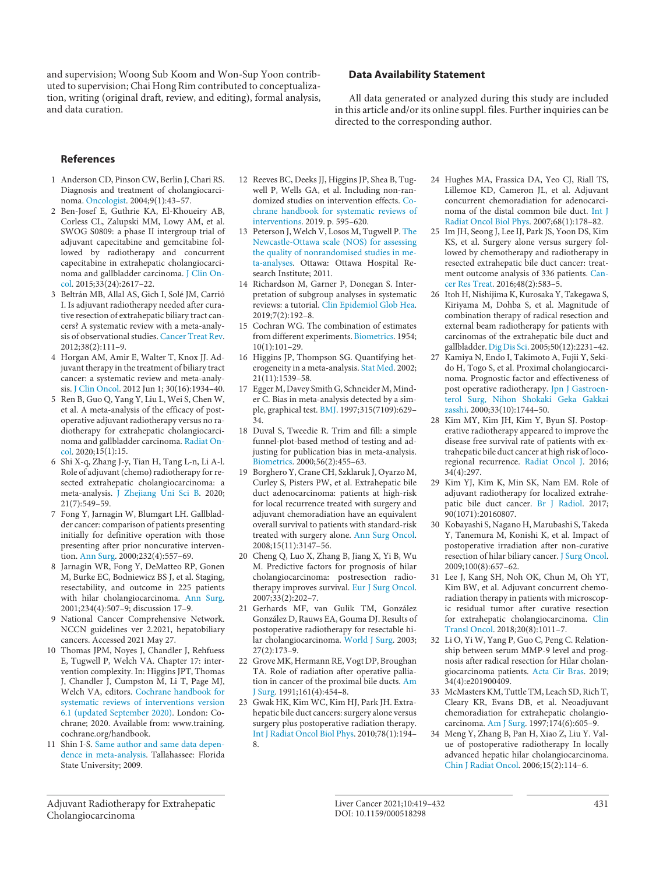and supervision; Woong Sub Koom and Won-Sup Yoon contributed to supervision; Chai Hong Rim contributed to conceptualization, writing (original draft, review, and editing), formal analysis, and data curation.

## **Data Availability Statement**

All data generated or analyzed during this study are included in this article and/or its online suppl. files. Further inquiries can be directed to the corresponding author.

## **References**

- <span id="page-12-0"></span>[1](#page-0-0) Anderson CD, Pinson CW, Berlin J, Chari RS. Diagnosis and treatment of cholangiocarcinoma. [Oncologist](https://www.karger.com/Article/FullText/518298?ref=1#ref1). 2004;9(1):43–57.
- <span id="page-12-1"></span>[2](#page-0-0) Ben-Josef E, Guthrie KA, El-Khoueiry AB, Corless CL, Zalupski MM, Lowy AM, et al. SWOG S0809: a phase II intergroup trial of adjuvant capecitabine and gemcitabine followed by radiotherapy and concurrent capecitabine in extrahepatic cholangiocarcinoma and gallbladder carcinoma. [J Clin On](https://www.karger.com/Article/FullText/518298?ref=2#ref2)[col](https://www.karger.com/Article/FullText/518298?ref=2#ref2). 2015;33(24):2617–22.
- <span id="page-12-2"></span>[3](#page-1-0) Beltrán MB, Allal AS, Gich I, Solé JM, Carrió I. Is adjuvant radiotherapy needed after curative resection of extrahepatic biliary tract cancers? A systematic review with a meta-analysis of observational studies. [Cancer Treat Rev](https://www.karger.com/Article/FullText/518298?ref=3#ref3). 2012;38(2):111–9.
- <span id="page-12-6"></span>[4](#page-1-0) Horgan AM, Amir E, Walter T, Knox JJ. Adjuvant therapy in the treatment of biliary tract cancer: a systematic review and meta-analysis. [J Clin Oncol](https://www.karger.com/Article/FullText/518298?ref=4#ref4). 2012 Jun 1; 30(16):1934–40.
- <span id="page-12-8"></span>[5](#page-1-0) Ren B, Guo Q, Yang Y, Liu L, Wei S, Chen W, et al. A meta-analysis of the efficacy of postoperative adjuvant radiotherapy versus no radiotherapy for extrahepatic cholangiocarcinoma and gallbladder carcinoma. [Radiat On](https://www.karger.com/Article/FullText/518298?ref=5#ref5)[col](https://www.karger.com/Article/FullText/518298?ref=5#ref5). 2020;15(1):15.
- <span id="page-12-3"></span>[6](#page-1-0) Shi X-q, Zhang J-y, Tian H, Tang L-n, Li A-l. Role of adjuvant (chemo) radiotherapy for resected extrahepatic cholangiocarcinoma: a meta-analysis. [J Zhejiang Uni Sci B.](https://www.karger.com/Article/FullText/518298?ref=6#ref6) 2020; 21(7):549–59.
- <span id="page-12-4"></span>[7](#page-1-1) Fong Y, Jarnagin W, Blumgart LH. Gallbladder cancer: comparison of patients presenting initially for definitive operation with those presenting after prior noncurative intervention. [Ann Surg](https://www.karger.com/Article/FullText/518298?ref=7#ref7). 2000;232(4):557–69.
- <span id="page-12-5"></span>[8](#page-1-1) Jarnagin WR, Fong Y, DeMatteo RP, Gonen M, Burke EC, Bodniewicz BS J, et al. Staging, resectability, and outcome in 225 patients with hilar cholangiocarcinoma. [Ann Surg](https://www.karger.com/Article/FullText/518298?ref=8#ref8). 2001;234(4):507–9; discussion 17–9.
- <span id="page-12-7"></span>[9](#page-1-2) National Cancer Comprehensive Network. NCCN guidelines ver 2.2021, hepatobiliary cancers. Accessed 2021 May 27.
- [10](#page-1-3) Thomas JPM, Noyes J, Chandler J, Rehfuess E, Tugwell P, Welch VA. Chapter 17: intervention complexity. In: Higgins JPT, Thomas J, Chandler J, Cumpston M, Li T, Page MJ, Welch VA, editors. [Cochrane handbook for](https://www.karger.com/Article/FullText/518298?ref=10#ref10) [systematic reviews of interventions version](https://www.karger.com/Article/FullText/518298?ref=10#ref10) [6.1 \(updated September 2020\)](https://www.karger.com/Article/FullText/518298?ref=10#ref10). London: Cochrane; 2020. Available from: www.training. cochrane.org/handbook.
- [11](#page-1-4) Shin I-S. [Same author and same data depen](https://www.karger.com/Article/FullText/518298?ref=11#ref11)[dence in meta-analysis.](https://www.karger.com/Article/FullText/518298?ref=11#ref11) Tallahassee: Florida State University; 2009.
- [12](#page-1-5) Reeves BC, Deeks JJ, Higgins JP, Shea B, Tugwell P, Wells GA, et al. Including non-randomized studies on intervention effects. [Co](https://www.karger.com/Article/FullText/518298?ref=12#ref12)[chrane handbook for systematic reviews of](https://www.karger.com/Article/FullText/518298?ref=12#ref12) [interventions.](https://www.karger.com/Article/FullText/518298?ref=12#ref12) 2019. p. 595–620.
- [13](#page-2-0) Peterson J, Welch V, Losos M, Tugwell P. [The](https://www.karger.com/Article/FullText/518298?ref=13#ref13) [Newcastle-Ottawa scale \(NOS\) for assessing](https://www.karger.com/Article/FullText/518298?ref=13#ref13) [the quality of nonrandomised studies in me](https://www.karger.com/Article/FullText/518298?ref=13#ref13)[ta-analyses.](https://www.karger.com/Article/FullText/518298?ref=13#ref13) Ottawa: Ottawa Hospital Research Institute; 2011.
- [14](#page-2-1) Richardson M, Garner P, Donegan S. Interpretation of subgroup analyses in systematic reviews: a tutorial. [Clin Epidemiol Glob Hea.](https://www.karger.com/Article/FullText/518298?ref=14#ref14) 2019;7(2):192–8.
- [15](#page-2-2) Cochran WG. The combination of estimates from different experiments. [Biometrics](https://www.karger.com/Article/FullText/518298?ref=15#ref15). 1954; 10(1):101–29.
- [16](#page-2-3) Higgins JP, Thompson SG. Quantifying heterogeneity in a meta-analysis. [Stat Med](https://www.karger.com/Article/FullText/518298?ref=16#ref16). 2002; 21(11):1539–58.
- [17](#page-3-0) Egger M, Davey Smith G, Schneider M, Minder C. Bias in meta-analysis detected by a simple, graphical test. [BMJ](https://www.karger.com/Article/FullText/518298?ref=17#ref17). 1997;315(7109):629– 34.
- [18](#page-3-1) Duval S, Tweedie R. Trim and fill: a simple funnel-plot-based method of testing and adjusting for publication bias in meta-analysis. [Biometrics](https://www.karger.com/Article/FullText/518298?ref=18#ref18). 2000;56(2):455–63.
- [19](#page-3-2) Borghero Y, Crane CH, Szklaruk J, Oyarzo M, Curley S, Pisters PW, et al. Extrahepatic bile duct adenocarcinoma: patients at high-risk for local recurrence treated with surgery and adjuvant chemoradiation have an equivalent overall survival to patients with standard-risk treated with surgery alone. [Ann Surg Oncol.](https://www.karger.com/Article/FullText/518298?ref=19#ref19) 2008;15(11):3147–56.
- [20](#page-3-2) Cheng Q, Luo X, Zhang B, Jiang X, Yi B, Wu M. Predictive factors for prognosis of hilar cholangiocarcinoma: postresection radiotherapy improves survival. [Eur J Surg Oncol.](https://www.karger.com/Article/FullText/518298?ref=20#ref20) 2007;33(2):202–7.
- [21](#page-3-2) Gerhards MF, van Gulik TM, González González D, Rauws EA, Gouma DJ. Results of postoperative radiotherapy for resectable hilar cholangiocarcinoma. [World J Surg.](https://www.karger.com/Article/FullText/518298?ref=21#ref21) 2003; 27(2):173–9.
- [22](#page-3-2) Grove MK, Hermann RE, Vogt DP, Broughan TA. Role of radiation after operative palliation in cancer of the proximal bile ducts. [Am](https://www.karger.com/Article/FullText/518298?ref=22#ref22) [J Surg](https://www.karger.com/Article/FullText/518298?ref=22#ref22). 1991;161(4):454–8.
- [23](#page-3-2) Gwak HK, Kim WC, Kim HJ, Park JH. Extrahepatic bile duct cancers: surgery alone versus surgery plus postoperative radiation therapy. [Int J Radiat Oncol Biol Phys](https://www.karger.com/Article/FullText/518298?ref=23#ref23). 2010;78(1):194– 8.
- [24](#page-3-2) Hughes MA, Frassica DA, Yeo CJ, Riall TS, Lillemoe KD, Cameron JL, et al. Adjuvant concurrent chemoradiation for adenocarcinoma of the distal common bile duct. [Int J](https://www.karger.com/Article/FullText/518298?ref=24#ref24)  [Radiat Oncol Biol Phys.](https://www.karger.com/Article/FullText/518298?ref=24#ref24) 2007;68(1):178–82.
- [25](#page-3-2) Im JH, Seong J, Lee IJ, Park JS, Yoon DS, Kim KS, et al. Surgery alone versus surgery followed by chemotherapy and radiotherapy in resected extrahepatic bile duct cancer: treatment outcome analysis of 336 patients. [Can](https://www.karger.com/Article/FullText/518298?ref=25#ref25)[cer Res Treat](https://www.karger.com/Article/FullText/518298?ref=25#ref25). 2016;48(2):583–5.
- [26](#page-3-2) Itoh H, Nishijima K, Kurosaka Y, Takegawa S, Kiriyama M, Dohba S, et al. Magnitude of combination therapy of radical resection and external beam radiotherapy for patients with carcinomas of the extrahepatic bile duct and gallbladder. [Dig Dis Sci.](https://www.karger.com/Article/FullText/518298?ref=26#ref26) 2005;50(12):2231–42.
- [27](#page-3-2) Kamiya N, Endo I, Takimoto A, Fujii Y, Sekido H, Togo S, et al. Proximal cholangiocarcinoma. Prognostic factor and effectiveness of post operative radiotherapy. [Jpn J Gastroen](https://www.karger.com/Article/FullText/518298?ref=27#ref27)[terol Surg, Nihon Shokaki Geka Gakkai](https://www.karger.com/Article/FullText/518298?ref=27#ref27)  [zasshi.](https://www.karger.com/Article/FullText/518298?ref=27#ref27) 2000;33(10):1744–50.
- [28](#page-3-2) Kim MY, Kim JH, Kim Y, Byun SJ. Postoperative radiotherapy appeared to improve the disease free survival rate of patients with extrahepatic bile duct cancer at high risk of locoregional recurrence. [Radiat Oncol J](https://www.karger.com/Article/FullText/518298?ref=28#ref28). 2016; 34(4):297.
- [29](#page-3-2) Kim YJ, Kim K, Min SK, Nam EM. Role of adjuvant radiotherapy for localized extrahepatic bile duct cancer. [Br J Radiol.](https://www.karger.com/Article/FullText/518298?ref=29#ref29) 2017; 90(1071):20160807.
- [30](#page-3-2) Kobayashi S, Nagano H, Marubashi S, Takeda Y, Tanemura M, Konishi K, et al. Impact of postoperative irradiation after non-curative resection of hilar biliary cancer. [J Surg Oncol.](https://www.karger.com/Article/FullText/518298?ref=30#ref30) 2009;100(8):657–62.
- [31](#page-3-2) Lee J, Kang SH, Noh OK, Chun M, Oh YT, Kim BW, et al. Adjuvant concurrent chemoradiation therapy in patients with microscopic residual tumor after curative resection for extrahepatic cholangiocarcinoma. [Clin](https://www.karger.com/Article/FullText/518298?ref=31#ref31)  [Transl Oncol.](https://www.karger.com/Article/FullText/518298?ref=31#ref31) 2018;20(8):1011–7.
- [32](#page-3-2) Li O, Yi W, Yang P, Guo C, Peng C. Relationship between serum MMP-9 level and prognosis after radical resection for Hilar cholangiocarcinoma patients. [Acta Cir Bras](https://www.karger.com/Article/FullText/518298?ref=32#ref32). 2019; 34(4):e201900409.
- [33](#page-3-2) McMasters KM, Tuttle TM, Leach SD, Rich T, Cleary KR, Evans DB, et al. Neoadjuvant chemoradiation for extrahepatic cholangiocarcinoma. [Am J Surg.](https://www.karger.com/Article/FullText/518298?ref=33#ref33) 1997;174(6):605–9.
- [34](#page-3-2) Meng Y, Zhang B, Pan H, Xiao Z, Liu Y. Value of postoperative radiotherapy In locally advanced hepatic hilar cholangiocarcinoma. [Chin J Radiat Oncol.](https://www.karger.com/Article/FullText/518298?ref=34#ref34) 2006;15(2):114–6.

Adjuvant Radiotherapy for Extrahepatic Cholangiocarcinoma